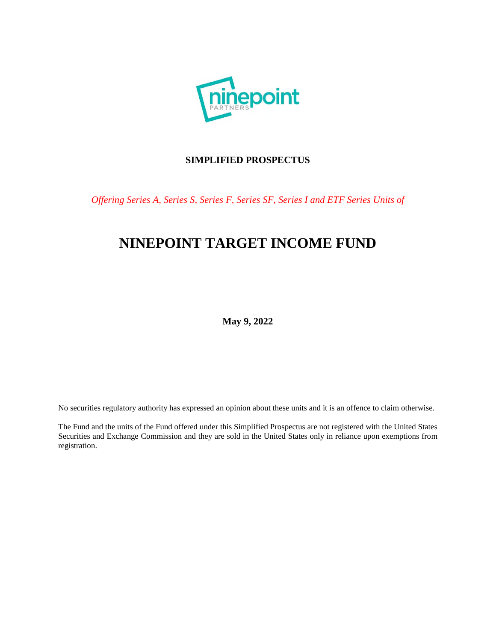

# **SIMPLIFIED PROSPECTUS**

*Offering Series A, Series S, Series F, Series SF, Series I and ETF Series Units of* 

# **NINEPOINT TARGET INCOME FUND**

**May 9, 2022** 

No securities regulatory authority has expressed an opinion about these units and it is an offence to claim otherwise.

The Fund and the units of the Fund offered under this Simplified Prospectus are not registered with the United States Securities and Exchange Commission and they are sold in the United States only in reliance upon exemptions from registration.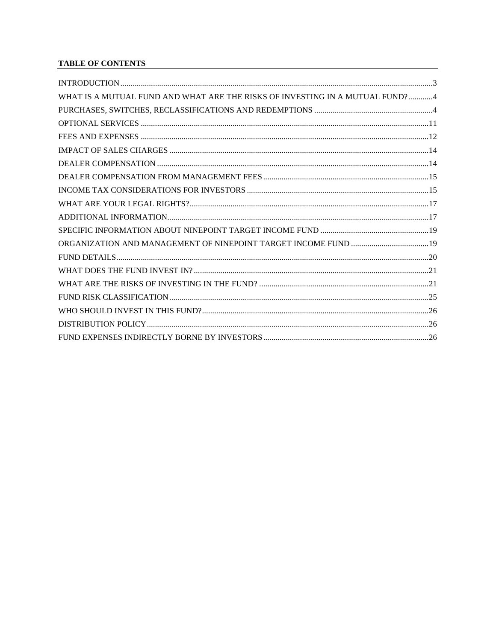# **TABLE OF CONTENTS**

| WHAT IS A MUTUAL FUND AND WHAT ARE THE RISKS OF INVESTING IN A MUTUAL FUND?4 |  |
|------------------------------------------------------------------------------|--|
|                                                                              |  |
|                                                                              |  |
|                                                                              |  |
|                                                                              |  |
|                                                                              |  |
|                                                                              |  |
|                                                                              |  |
|                                                                              |  |
|                                                                              |  |
|                                                                              |  |
|                                                                              |  |
|                                                                              |  |
|                                                                              |  |
|                                                                              |  |
|                                                                              |  |
|                                                                              |  |
|                                                                              |  |
|                                                                              |  |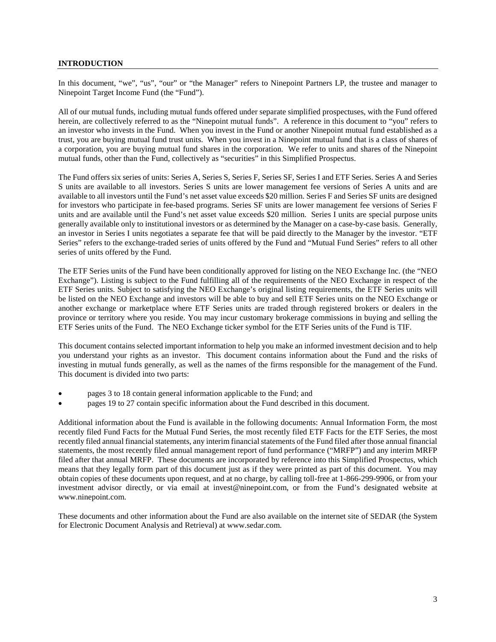# **INTRODUCTION**

In this document, "we", "us", "our" or "the Manager" refers to Ninepoint Partners LP, the trustee and manager to Ninepoint Target Income Fund (the "Fund").

All of our mutual funds, including mutual funds offered under separate simplified prospectuses, with the Fund offered herein, are collectively referred to as the "Ninepoint mutual funds". A reference in this document to "you" refers to an investor who invests in the Fund. When you invest in the Fund or another Ninepoint mutual fund established as a trust, you are buying mutual fund trust units. When you invest in a Ninepoint mutual fund that is a class of shares of a corporation, you are buying mutual fund shares in the corporation. We refer to units and shares of the Ninepoint mutual funds, other than the Fund, collectively as "securities" in this Simplified Prospectus.

The Fund offers six series of units: Series A, Series S, Series F, Series SF, Series I and ETF Series. Series A and Series S units are available to all investors. Series S units are lower management fee versions of Series A units and are available to all investors until the Fund's net asset value exceeds \$20 million. Series F and Series SF units are designed for investors who participate in fee-based programs. Series SF units are lower management fee versions of Series F units and are available until the Fund's net asset value exceeds \$20 million. Series I units are special purpose units generally available only to institutional investors or as determined by the Manager on a case-by-case basis. Generally, an investor in Series I units negotiates a separate fee that will be paid directly to the Manager by the investor. "ETF Series" refers to the exchange-traded series of units offered by the Fund and "Mutual Fund Series" refers to all other series of units offered by the Fund.

The ETF Series units of the Fund have been conditionally approved for listing on the NEO Exchange Inc. (the "NEO Exchange"). Listing is subject to the Fund fulfilling all of the requirements of the NEO Exchange in respect of the ETF Series units. Subject to satisfying the NEO Exchange's original listing requirements, the ETF Series units will be listed on the NEO Exchange and investors will be able to buy and sell ETF Series units on the NEO Exchange or another exchange or marketplace where ETF Series units are traded through registered brokers or dealers in the province or territory where you reside. You may incur customary brokerage commissions in buying and selling the ETF Series units of the Fund. The NEO Exchange ticker symbol for the ETF Series units of the Fund is TIF.

This document contains selected important information to help you make an informed investment decision and to help you understand your rights as an investor. This document contains information about the Fund and the risks of investing in mutual funds generally, as well as the names of the firms responsible for the management of the Fund. This document is divided into two parts:

- pages 3 to 18 contain general information applicable to the Fund; and
- pages 19 to 27 contain specific information about the Fund described in this document.

Additional information about the Fund is available in the following documents: Annual Information Form, the most recently filed Fund Facts for the Mutual Fund Series, the most recently filed ETF Facts for the ETF Series, the most recently filed annual financial statements, any interim financial statements of the Fund filed after those annual financial statements, the most recently filed annual management report of fund performance ("MRFP") and any interim MRFP filed after that annual MRFP. These documents are incorporated by reference into this Simplified Prospectus, which means that they legally form part of this document just as if they were printed as part of this document. You may obtain copies of these documents upon request, and at no charge, by calling toll-free at 1-866-299-9906, or from your investment advisor directly, or via email at invest@ninepoint.com, or from the Fund's designated website at www.ninepoint.com.

These documents and other information about the Fund are also available on the internet site of SEDAR (the System for Electronic Document Analysis and Retrieval) at www.sedar.com.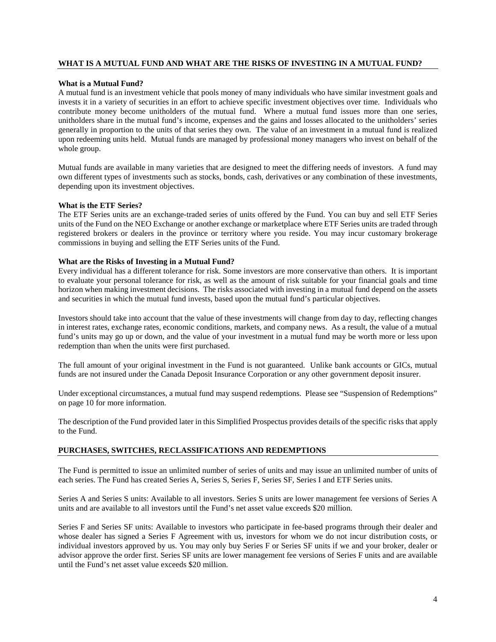# **WHAT IS A MUTUAL FUND AND WHAT ARE THE RISKS OF INVESTING IN A MUTUAL FUND?**

#### **What is a Mutual Fund?**

A mutual fund is an investment vehicle that pools money of many individuals who have similar investment goals and invests it in a variety of securities in an effort to achieve specific investment objectives over time. Individuals who contribute money become unitholders of the mutual fund. Where a mutual fund issues more than one series, unitholders share in the mutual fund's income, expenses and the gains and losses allocated to the unitholders' series generally in proportion to the units of that series they own. The value of an investment in a mutual fund is realized upon redeeming units held. Mutual funds are managed by professional money managers who invest on behalf of the whole group.

Mutual funds are available in many varieties that are designed to meet the differing needs of investors. A fund may own different types of investments such as stocks, bonds, cash, derivatives or any combination of these investments, depending upon its investment objectives.

### **What is the ETF Series?**

The ETF Series units are an exchange-traded series of units offered by the Fund. You can buy and sell ETF Series units of the Fund on the NEO Exchange or another exchange or marketplace where ETF Series units are traded through registered brokers or dealers in the province or territory where you reside. You may incur customary brokerage commissions in buying and selling the ETF Series units of the Fund.

#### **What are the Risks of Investing in a Mutual Fund?**

Every individual has a different tolerance for risk. Some investors are more conservative than others. It is important to evaluate your personal tolerance for risk, as well as the amount of risk suitable for your financial goals and time horizon when making investment decisions. The risks associated with investing in a mutual fund depend on the assets and securities in which the mutual fund invests, based upon the mutual fund's particular objectives.

Investors should take into account that the value of these investments will change from day to day, reflecting changes in interest rates, exchange rates, economic conditions, markets, and company news. As a result, the value of a mutual fund's units may go up or down, and the value of your investment in a mutual fund may be worth more or less upon redemption than when the units were first purchased.

The full amount of your original investment in the Fund is not guaranteed. Unlike bank accounts or GICs, mutual funds are not insured under the Canada Deposit Insurance Corporation or any other government deposit insurer.

Under exceptional circumstances, a mutual fund may suspend redemptions. Please see "Suspension of Redemptions" on page 10 for more information.

The description of the Fund provided later in this Simplified Prospectus provides details of the specific risks that apply to the Fund.

# **PURCHASES, SWITCHES, RECLASSIFICATIONS AND REDEMPTIONS**

The Fund is permitted to issue an unlimited number of series of units and may issue an unlimited number of units of each series. The Fund has created Series A, Series S, Series F, Series SF, Series I and ETF Series units.

Series A and Series S units: Available to all investors. Series S units are lower management fee versions of Series A units and are available to all investors until the Fund's net asset value exceeds \$20 million.

Series F and Series SF units: Available to investors who participate in fee-based programs through their dealer and whose dealer has signed a Series F Agreement with us, investors for whom we do not incur distribution costs, or individual investors approved by us. You may only buy Series F or Series SF units if we and your broker, dealer or advisor approve the order first. Series SF units are lower management fee versions of Series F units and are available until the Fund's net asset value exceeds \$20 million.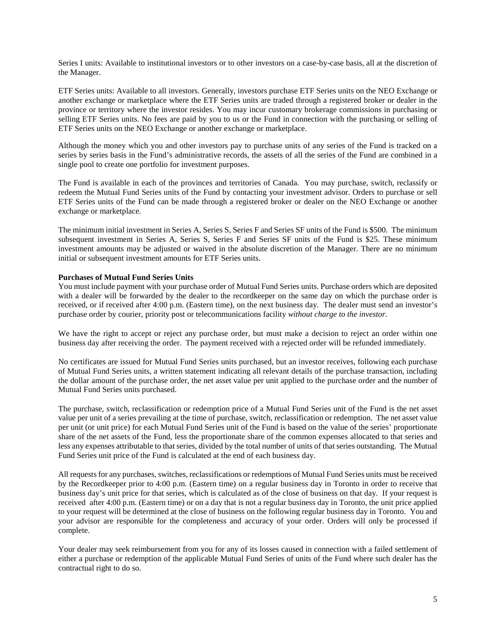Series I units: Available to institutional investors or to other investors on a case-by-case basis, all at the discretion of the Manager.

ETF Series units: Available to all investors. Generally, investors purchase ETF Series units on the NEO Exchange or another exchange or marketplace where the ETF Series units are traded through a registered broker or dealer in the province or territory where the investor resides. You may incur customary brokerage commissions in purchasing or selling ETF Series units. No fees are paid by you to us or the Fund in connection with the purchasing or selling of ETF Series units on the NEO Exchange or another exchange or marketplace.

Although the money which you and other investors pay to purchase units of any series of the Fund is tracked on a series by series basis in the Fund's administrative records, the assets of all the series of the Fund are combined in a single pool to create one portfolio for investment purposes.

The Fund is available in each of the provinces and territories of Canada. You may purchase, switch, reclassify or redeem the Mutual Fund Series units of the Fund by contacting your investment advisor. Orders to purchase or sell ETF Series units of the Fund can be made through a registered broker or dealer on the NEO Exchange or another exchange or marketplace.

The minimum initial investment in Series A, Series S, Series F and Series SF units of the Fund is \$500. The minimum subsequent investment in Series A, Series S, Series F and Series SF units of the Fund is \$25. These minimum investment amounts may be adjusted or waived in the absolute discretion of the Manager. There are no minimum initial or subsequent investment amounts for ETF Series units.

# **Purchases of Mutual Fund Series Units**

You must include payment with your purchase order of Mutual Fund Series units. Purchase orders which are deposited with a dealer will be forwarded by the dealer to the recordkeeper on the same day on which the purchase order is received, or if received after 4:00 p.m. (Eastern time), on the next business day. The dealer must send an investor's purchase order by courier, priority post or telecommunications facility *without charge to the investor*.

We have the right to accept or reject any purchase order, but must make a decision to reject an order within one business day after receiving the order. The payment received with a rejected order will be refunded immediately.

No certificates are issued for Mutual Fund Series units purchased, but an investor receives, following each purchase of Mutual Fund Series units, a written statement indicating all relevant details of the purchase transaction, including the dollar amount of the purchase order, the net asset value per unit applied to the purchase order and the number of Mutual Fund Series units purchased.

The purchase, switch, reclassification or redemption price of a Mutual Fund Series unit of the Fund is the net asset value per unit of a series prevailing at the time of purchase, switch, reclassification or redemption. The net asset value per unit (or unit price) for each Mutual Fund Series unit of the Fund is based on the value of the series' proportionate share of the net assets of the Fund, less the proportionate share of the common expenses allocated to that series and less any expenses attributable to that series, divided by the total number of units of that series outstanding. The Mutual Fund Series unit price of the Fund is calculated at the end of each business day.

All requests for any purchases, switches, reclassifications or redemptions of Mutual Fund Series units must be received by the Recordkeeper prior to 4:00 p.m. (Eastern time) on a regular business day in Toronto in order to receive that business day's unit price for that series, which is calculated as of the close of business on that day. If your request is received after 4:00 p.m. (Eastern time) or on a day that is not a regular business day in Toronto, the unit price applied to your request will be determined at the close of business on the following regular business day in Toronto. You and your advisor are responsible for the completeness and accuracy of your order. Orders will only be processed if complete.

Your dealer may seek reimbursement from you for any of its losses caused in connection with a failed settlement of either a purchase or redemption of the applicable Mutual Fund Series of units of the Fund where such dealer has the contractual right to do so.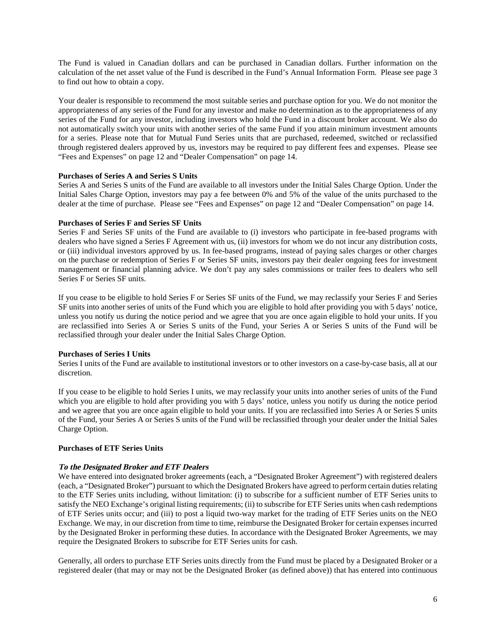The Fund is valued in Canadian dollars and can be purchased in Canadian dollars. Further information on the calculation of the net asset value of the Fund is described in the Fund's Annual Information Form. Please see page 3 to find out how to obtain a copy.

Your dealer is responsible to recommend the most suitable series and purchase option for you. We do not monitor the appropriateness of any series of the Fund for any investor and make no determination as to the appropriateness of any series of the Fund for any investor, including investors who hold the Fund in a discount broker account. We also do not automatically switch your units with another series of the same Fund if you attain minimum investment amounts for a series. Please note that for Mutual Fund Series units that are purchased, redeemed, switched or reclassified through registered dealers approved by us, investors may be required to pay different fees and expenses. Please see "Fees and Expenses" on page 12 and "Dealer Compensation" on page 14.

# **Purchases of Series A and Series S Units**

Series A and Series S units of the Fund are available to all investors under the Initial Sales Charge Option. Under the Initial Sales Charge Option, investors may pay a fee between 0% and 5% of the value of the units purchased to the dealer at the time of purchase. Please see "Fees and Expenses" on page 12 and "Dealer Compensation" on page 14.

# **Purchases of Series F and Series SF Units**

Series F and Series SF units of the Fund are available to (i) investors who participate in fee-based programs with dealers who have signed a Series F Agreement with us, (ii) investors for whom we do not incur any distribution costs, or (iii) individual investors approved by us. In fee-based programs, instead of paying sales charges or other charges on the purchase or redemption of Series F or Series SF units, investors pay their dealer ongoing fees for investment management or financial planning advice. We don't pay any sales commissions or trailer fees to dealers who sell Series F or Series SF units.

If you cease to be eligible to hold Series F or Series SF units of the Fund, we may reclassify your Series F and Series SF units into another series of units of the Fund which you are eligible to hold after providing you with 5 days' notice, unless you notify us during the notice period and we agree that you are once again eligible to hold your units. If you are reclassified into Series A or Series S units of the Fund, your Series A or Series S units of the Fund will be reclassified through your dealer under the Initial Sales Charge Option.

# **Purchases of Series I Units**

Series I units of the Fund are available to institutional investors or to other investors on a case-by-case basis, all at our discretion.

If you cease to be eligible to hold Series I units, we may reclassify your units into another series of units of the Fund which you are eligible to hold after providing you with 5 days' notice, unless you notify us during the notice period and we agree that you are once again eligible to hold your units. If you are reclassified into Series A or Series S units of the Fund, your Series A or Series S units of the Fund will be reclassified through your dealer under the Initial Sales Charge Option.

# **Purchases of ETF Series Units**

## **To the Designated Broker and ETF Dealers**

We have entered into designated broker agreements (each, a "Designated Broker Agreement") with registered dealers (each, a "Designated Broker") pursuant to which the Designated Brokers have agreed to perform certain duties relating to the ETF Series units including, without limitation: (i) to subscribe for a sufficient number of ETF Series units to satisfy the NEO Exchange's original listing requirements; (ii) to subscribe for ETF Series units when cash redemptions of ETF Series units occur; and (iii) to post a liquid two-way market for the trading of ETF Series units on the NEO Exchange. We may, in our discretion from time to time, reimburse the Designated Broker for certain expenses incurred by the Designated Broker in performing these duties. In accordance with the Designated Broker Agreements, we may require the Designated Brokers to subscribe for ETF Series units for cash.

Generally, all orders to purchase ETF Series units directly from the Fund must be placed by a Designated Broker or a registered dealer (that may or may not be the Designated Broker (as defined above)) that has entered into continuous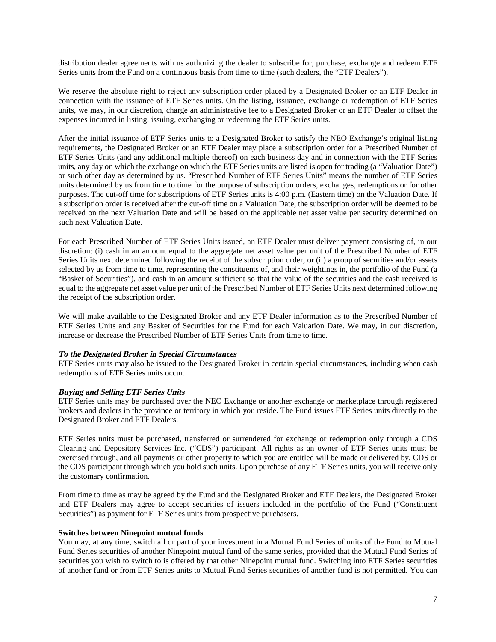distribution dealer agreements with us authorizing the dealer to subscribe for, purchase, exchange and redeem ETF Series units from the Fund on a continuous basis from time to time (such dealers, the "ETF Dealers").

We reserve the absolute right to reject any subscription order placed by a Designated Broker or an ETF Dealer in connection with the issuance of ETF Series units. On the listing, issuance, exchange or redemption of ETF Series units, we may, in our discretion, charge an administrative fee to a Designated Broker or an ETF Dealer to offset the expenses incurred in listing, issuing, exchanging or redeeming the ETF Series units.

After the initial issuance of ETF Series units to a Designated Broker to satisfy the NEO Exchange's original listing requirements, the Designated Broker or an ETF Dealer may place a subscription order for a Prescribed Number of ETF Series Units (and any additional multiple thereof) on each business day and in connection with the ETF Series units, any day on which the exchange on which the ETF Series units are listed is open for trading (a "Valuation Date") or such other day as determined by us. "Prescribed Number of ETF Series Units" means the number of ETF Series units determined by us from time to time for the purpose of subscription orders, exchanges, redemptions or for other purposes. The cut-off time for subscriptions of ETF Series units is 4:00 p.m. (Eastern time) on the Valuation Date. If a subscription order is received after the cut-off time on a Valuation Date, the subscription order will be deemed to be received on the next Valuation Date and will be based on the applicable net asset value per security determined on such next Valuation Date.

For each Prescribed Number of ETF Series Units issued, an ETF Dealer must deliver payment consisting of, in our discretion: (i) cash in an amount equal to the aggregate net asset value per unit of the Prescribed Number of ETF Series Units next determined following the receipt of the subscription order; or (ii) a group of securities and/or assets selected by us from time to time, representing the constituents of, and their weightings in, the portfolio of the Fund (a "Basket of Securities"), and cash in an amount sufficient so that the value of the securities and the cash received is equal to the aggregate net asset value per unit of the Prescribed Number of ETF Series Units next determined following the receipt of the subscription order.

We will make available to the Designated Broker and any ETF Dealer information as to the Prescribed Number of ETF Series Units and any Basket of Securities for the Fund for each Valuation Date. We may, in our discretion, increase or decrease the Prescribed Number of ETF Series Units from time to time.

# **To the Designated Broker in Special Circumstances**

ETF Series units may also be issued to the Designated Broker in certain special circumstances, including when cash redemptions of ETF Series units occur.

# **Buying and Selling ETF Series Units**

ETF Series units may be purchased over the NEO Exchange or another exchange or marketplace through registered brokers and dealers in the province or territory in which you reside. The Fund issues ETF Series units directly to the Designated Broker and ETF Dealers.

ETF Series units must be purchased, transferred or surrendered for exchange or redemption only through a CDS Clearing and Depository Services Inc. ("CDS") participant. All rights as an owner of ETF Series units must be exercised through, and all payments or other property to which you are entitled will be made or delivered by, CDS or the CDS participant through which you hold such units. Upon purchase of any ETF Series units, you will receive only the customary confirmation.

From time to time as may be agreed by the Fund and the Designated Broker and ETF Dealers, the Designated Broker and ETF Dealers may agree to accept securities of issuers included in the portfolio of the Fund ("Constituent Securities") as payment for ETF Series units from prospective purchasers.

### **Switches between Ninepoint mutual funds**

You may, at any time, switch all or part of your investment in a Mutual Fund Series of units of the Fund to Mutual Fund Series securities of another Ninepoint mutual fund of the same series, provided that the Mutual Fund Series of securities you wish to switch to is offered by that other Ninepoint mutual fund. Switching into ETF Series securities of another fund or from ETF Series units to Mutual Fund Series securities of another fund is not permitted. You can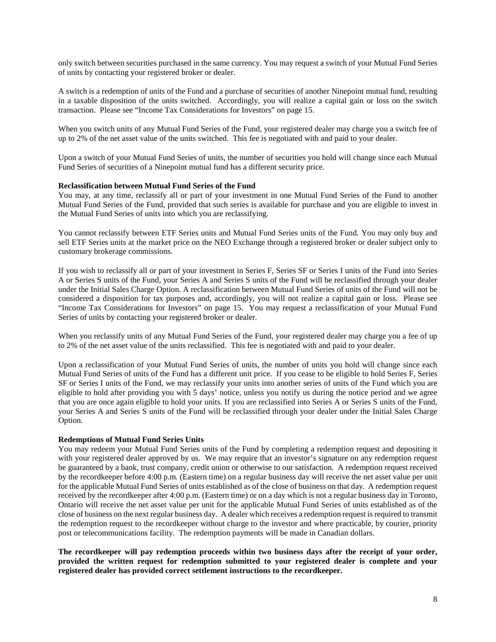only switch between securities purchased in the same currency. You may request a switch of your Mutual Fund Series of units by contacting your registered broker or dealer.

A switch is a redemption of units of the Fund and a purchase of securities of another Ninepoint mutual fund, resulting in a taxable disposition of the units switched. Accordingly, you will realize a capital gain or loss on the switch transaction. Please see "Income Tax Considerations for Investors" on page 15.

When you switch units of any Mutual Fund Series of the Fund, your registered dealer may charge you a switch fee of up to 2% of the net asset value of the units switched. This fee is negotiated with and paid to your dealer.

Upon a switch of your Mutual Fund Series of units, the number of securities you hold will change since each Mutual Fund Series of securities of a Ninepoint mutual fund has a different security price.

### **Reclassification between Mutual Fund Series of the Fund**

You may, at any time, reclassify all or part of your investment in one Mutual Fund Series of the Fund to another Mutual Fund Series of the Fund, provided that such series is available for purchase and you are eligible to invest in the Mutual Fund Series of units into which you are reclassifying.

You cannot reclassify between ETF Series units and Mutual Fund Series units of the Fund. You may only buy and sell ETF Series units at the market price on the NEO Exchange through a registered broker or dealer subject only to customary brokerage commissions.

If you wish to reclassify all or part of your investment in Series F, Series SF or Series I units of the Fund into Series A or Series S units of the Fund, your Series A and Series S units of the Fund will be reclassified through your dealer under the Initial Sales Charge Option. A reclassification between Mutual Fund Series of units of the Fund will not be considered a disposition for tax purposes and, accordingly, you will not realize a capital gain or loss. Please see "Income Tax Considerations for Investors" on page 15. You may request a reclassification of your Mutual Fund Series of units by contacting your registered broker or dealer.

When you reclassify units of any Mutual Fund Series of the Fund, your registered dealer may charge you a fee of up to 2% of the net asset value of the units reclassified. This fee is negotiated with and paid to your dealer.

Upon a reclassification of your Mutual Fund Series of units, the number of units you hold will change since each Mutual Fund Series of units of the Fund has a different unit price. If you cease to be eligible to hold Series F, Series SF or Series I units of the Fund, we may reclassify your units into another series of units of the Fund which you are eligible to hold after providing you with 5 days' notice, unless you notify us during the notice period and we agree that you are once again eligible to hold your units. If you are reclassified into Series A or Series S units of the Fund, your Series A and Series S units of the Fund will be reclassified through your dealer under the Initial Sales Charge Option.

### **Redemptions of Mutual Fund Series Units**

You may redeem your Mutual Fund Series units of the Fund by completing a redemption request and depositing it with your registered dealer approved by us. We may require that an investor's signature on any redemption request be guaranteed by a bank, trust company, credit union or otherwise to our satisfaction. A redemption request received by the recordkeeper before 4:00 p.m. (Eastern time) on a regular business day will receive the net asset value per unit for the applicable Mutual Fund Series of units established as of the close of business on that day. A redemption request received by the recordkeeper after 4:00 p.m. (Eastern time) or on a day which is not a regular business day in Toronto, Ontario will receive the net asset value per unit for the applicable Mutual Fund Series of units established as of the close of business on the next regular business day. A dealer which receives a redemption request is required to transmit the redemption request to the recordkeeper without charge to the investor and where practicable, by courier, priority post or telecommunications facility. The redemption payments will be made in Canadian dollars.

**The recordkeeper will pay redemption proceeds within two business days after the receipt of your order, provided the written request for redemption submitted to your registered dealer is complete and your registered dealer has provided correct settlement instructions to the recordkeeper.**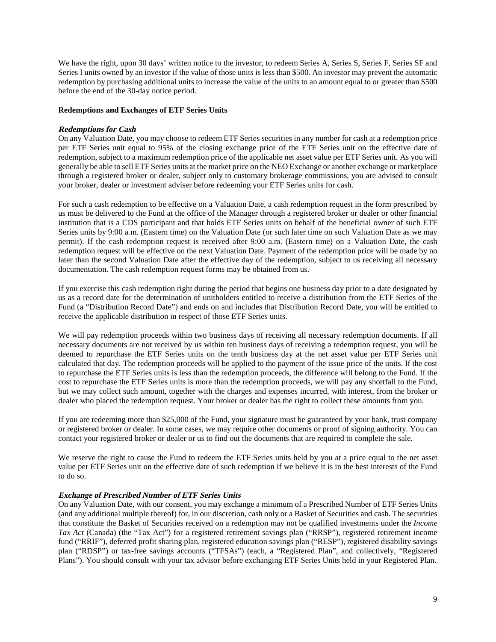We have the right, upon 30 days' written notice to the investor, to redeem Series A, Series S, Series F, Series SF and Series I units owned by an investor if the value of those units is less than \$500. An investor may prevent the automatic redemption by purchasing additional units to increase the value of the units to an amount equal to or greater than \$500 before the end of the 30-day notice period.

# **Redemptions and Exchanges of ETF Series Units**

# **Redemptions for Cash**

On any Valuation Date, you may choose to redeem ETF Series securities in any number for cash at a redemption price per ETF Series unit equal to 95% of the closing exchange price of the ETF Series unit on the effective date of redemption, subject to a maximum redemption price of the applicable net asset value per ETF Series unit. As you will generally be able to sell ETF Series units at the market price on the NEO Exchange or another exchange or marketplace through a registered broker or dealer, subject only to customary brokerage commissions, you are advised to consult your broker, dealer or investment adviser before redeeming your ETF Series units for cash.

For such a cash redemption to be effective on a Valuation Date, a cash redemption request in the form prescribed by us must be delivered to the Fund at the office of the Manager through a registered broker or dealer or other financial institution that is a CDS participant and that holds ETF Series units on behalf of the beneficial owner of such ETF Series units by 9:00 a.m. (Eastern time) on the Valuation Date (or such later time on such Valuation Date as we may permit). If the cash redemption request is received after 9:00 a.m. (Eastern time) on a Valuation Date, the cash redemption request will be effective on the next Valuation Date. Payment of the redemption price will be made by no later than the second Valuation Date after the effective day of the redemption, subject to us receiving all necessary documentation. The cash redemption request forms may be obtained from us.

If you exercise this cash redemption right during the period that begins one business day prior to a date designated by us as a record date for the determination of unitholders entitled to receive a distribution from the ETF Series of the Fund (a "Distribution Record Date") and ends on and includes that Distribution Record Date, you will be entitled to receive the applicable distribution in respect of those ETF Series units.

We will pay redemption proceeds within two business days of receiving all necessary redemption documents. If all necessary documents are not received by us within ten business days of receiving a redemption request, you will be deemed to repurchase the ETF Series units on the tenth business day at the net asset value per ETF Series unit calculated that day. The redemption proceeds will be applied to the payment of the issue price of the units. If the cost to repurchase the ETF Series units is less than the redemption proceeds, the difference will belong to the Fund. If the cost to repurchase the ETF Series units is more than the redemption proceeds, we will pay any shortfall to the Fund, but we may collect such amount, together with the charges and expenses incurred, with interest, from the broker or dealer who placed the redemption request. Your broker or dealer has the right to collect these amounts from you.

If you are redeeming more than \$25,000 of the Fund, your signature must be guaranteed by your bank, trust company or registered broker or dealer. In some cases, we may require other documents or proof of signing authority. You can contact your registered broker or dealer or us to find out the documents that are required to complete the sale.

We reserve the right to cause the Fund to redeem the ETF Series units held by you at a price equal to the net asset value per ETF Series unit on the effective date of such redemption if we believe it is in the best interests of the Fund to do so.

# **Exchange of Prescribed Number of ETF Series Units**

On any Valuation Date, with our consent, you may exchange a minimum of a Prescribed Number of ETF Series Units (and any additional multiple thereof) for, in our discretion, cash only or a Basket of Securities and cash. The securities that constitute the Basket of Securities received on a redemption may not be qualified investments under the *Income Tax Act* (Canada) (the "Tax Act") for a registered retirement savings plan ("RRSP"), registered retirement income fund ("RRIF"), deferred profit sharing plan, registered education savings plan ("RESP"), registered disability savings plan ("RDSP") or tax-free savings accounts ("TFSAs") (each, a "Registered Plan", and collectively, "Registered Plans"). You should consult with your tax advisor before exchanging ETF Series Units held in your Registered Plan.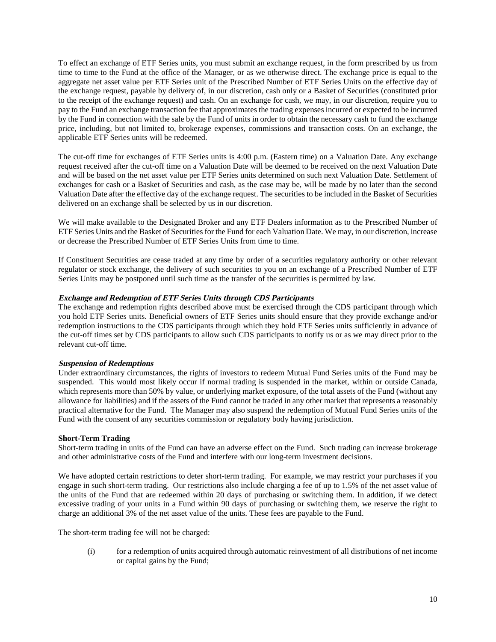To effect an exchange of ETF Series units, you must submit an exchange request, in the form prescribed by us from time to time to the Fund at the office of the Manager, or as we otherwise direct. The exchange price is equal to the aggregate net asset value per ETF Series unit of the Prescribed Number of ETF Series Units on the effective day of the exchange request, payable by delivery of, in our discretion, cash only or a Basket of Securities (constituted prior to the receipt of the exchange request) and cash. On an exchange for cash, we may, in our discretion, require you to pay to the Fund an exchange transaction fee that approximates the trading expenses incurred or expected to be incurred by the Fund in connection with the sale by the Fund of units in order to obtain the necessary cash to fund the exchange price, including, but not limited to, brokerage expenses, commissions and transaction costs. On an exchange, the applicable ETF Series units will be redeemed.

The cut-off time for exchanges of ETF Series units is 4:00 p.m. (Eastern time) on a Valuation Date. Any exchange request received after the cut-off time on a Valuation Date will be deemed to be received on the next Valuation Date and will be based on the net asset value per ETF Series units determined on such next Valuation Date. Settlement of exchanges for cash or a Basket of Securities and cash, as the case may be, will be made by no later than the second Valuation Date after the effective day of the exchange request. The securities to be included in the Basket of Securities delivered on an exchange shall be selected by us in our discretion.

We will make available to the Designated Broker and any ETF Dealers information as to the Prescribed Number of ETF Series Units and the Basket of Securities for the Fund for each Valuation Date. We may, in our discretion, increase or decrease the Prescribed Number of ETF Series Units from time to time.

If Constituent Securities are cease traded at any time by order of a securities regulatory authority or other relevant regulator or stock exchange, the delivery of such securities to you on an exchange of a Prescribed Number of ETF Series Units may be postponed until such time as the transfer of the securities is permitted by law.

# **Exchange and Redemption of ETF Series Units through CDS Participants**

The exchange and redemption rights described above must be exercised through the CDS participant through which you hold ETF Series units. Beneficial owners of ETF Series units should ensure that they provide exchange and/or redemption instructions to the CDS participants through which they hold ETF Series units sufficiently in advance of the cut-off times set by CDS participants to allow such CDS participants to notify us or as we may direct prior to the relevant cut-off time.

### **Suspension of Redemptions**

Under extraordinary circumstances, the rights of investors to redeem Mutual Fund Series units of the Fund may be suspended. This would most likely occur if normal trading is suspended in the market, within or outside Canada, which represents more than 50% by value, or underlying market exposure, of the total assets of the Fund (without any allowance for liabilities) and if the assets of the Fund cannot be traded in any other market that represents a reasonably practical alternative for the Fund. The Manager may also suspend the redemption of Mutual Fund Series units of the Fund with the consent of any securities commission or regulatory body having jurisdiction.

# **Short-Term Trading**

Short-term trading in units of the Fund can have an adverse effect on the Fund. Such trading can increase brokerage and other administrative costs of the Fund and interfere with our long-term investment decisions.

We have adopted certain restrictions to deter short-term trading. For example, we may restrict your purchases if you engage in such short-term trading. Our restrictions also include charging a fee of up to 1.5% of the net asset value of the units of the Fund that are redeemed within 20 days of purchasing or switching them. In addition, if we detect excessive trading of your units in a Fund within 90 days of purchasing or switching them, we reserve the right to charge an additional 3% of the net asset value of the units. These fees are payable to the Fund.

The short-term trading fee will not be charged:

(i) for a redemption of units acquired through automatic reinvestment of all distributions of net income or capital gains by the Fund;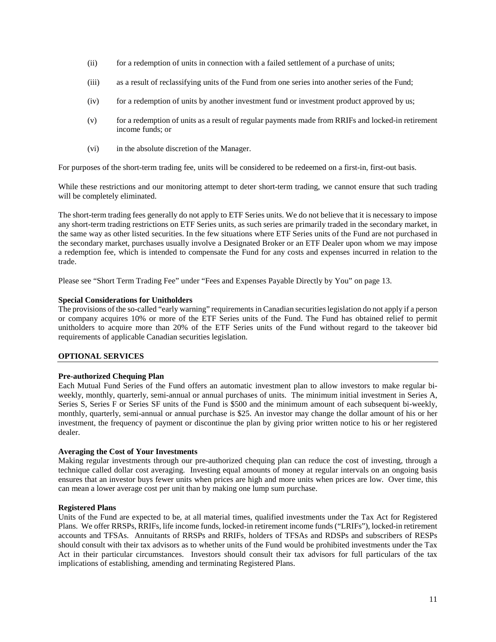- (ii) for a redemption of units in connection with a failed settlement of a purchase of units;
- (iii) as a result of reclassifying units of the Fund from one series into another series of the Fund;
- (iv) for a redemption of units by another investment fund or investment product approved by us;
- (v) for a redemption of units as a result of regular payments made from RRIFs and locked-in retirement income funds; or
- (vi) in the absolute discretion of the Manager.

For purposes of the short-term trading fee, units will be considered to be redeemed on a first-in, first-out basis.

While these restrictions and our monitoring attempt to deter short-term trading, we cannot ensure that such trading will be completely eliminated.

The short-term trading fees generally do not apply to ETF Series units. We do not believe that it is necessary to impose any short-term trading restrictions on ETF Series units, as such series are primarily traded in the secondary market, in the same way as other listed securities. In the few situations where ETF Series units of the Fund are not purchased in the secondary market, purchases usually involve a Designated Broker or an ETF Dealer upon whom we may impose a redemption fee, which is intended to compensate the Fund for any costs and expenses incurred in relation to the trade.

Please see "Short Term Trading Fee" under "Fees and Expenses Payable Directly by You" on page 13.

# **Special Considerations for Unitholders**

The provisions of the so-called "early warning" requirements in Canadian securities legislation do not apply if a person or company acquires 10% or more of the ETF Series units of the Fund. The Fund has obtained relief to permit unitholders to acquire more than 20% of the ETF Series units of the Fund without regard to the takeover bid requirements of applicable Canadian securities legislation.

### **OPTIONAL SERVICES**

### **Pre-authorized Chequing Plan**

Each Mutual Fund Series of the Fund offers an automatic investment plan to allow investors to make regular biweekly, monthly, quarterly, semi-annual or annual purchases of units. The minimum initial investment in Series A, Series S, Series F or Series SF units of the Fund is \$500 and the minimum amount of each subsequent bi-weekly, monthly, quarterly, semi-annual or annual purchase is \$25. An investor may change the dollar amount of his or her investment, the frequency of payment or discontinue the plan by giving prior written notice to his or her registered dealer.

### **Averaging the Cost of Your Investments**

Making regular investments through our pre-authorized chequing plan can reduce the cost of investing, through a technique called dollar cost averaging. Investing equal amounts of money at regular intervals on an ongoing basis ensures that an investor buys fewer units when prices are high and more units when prices are low. Over time, this can mean a lower average cost per unit than by making one lump sum purchase.

### **Registered Plans**

Units of the Fund are expected to be, at all material times, qualified investments under the Tax Act for Registered Plans. We offer RRSPs, RRIFs, life income funds, locked-in retirement income funds ("LRIFs"), locked-in retirement accounts and TFSAs. Annuitants of RRSPs and RRIFs, holders of TFSAs and RDSPs and subscribers of RESPs should consult with their tax advisors as to whether units of the Fund would be prohibited investments under the Tax Act in their particular circumstances. Investors should consult their tax advisors for full particulars of the tax implications of establishing, amending and terminating Registered Plans.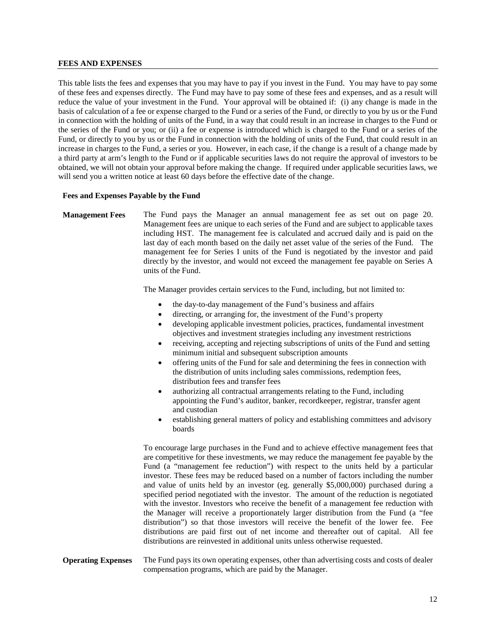#### **FEES AND EXPENSES**

This table lists the fees and expenses that you may have to pay if you invest in the Fund. You may have to pay some of these fees and expenses directly. The Fund may have to pay some of these fees and expenses, and as a result will reduce the value of your investment in the Fund. Your approval will be obtained if: (i) any change is made in the basis of calculation of a fee or expense charged to the Fund or a series of the Fund, or directly to you by us or the Fund in connection with the holding of units of the Fund, in a way that could result in an increase in charges to the Fund or the series of the Fund or you; or (ii) a fee or expense is introduced which is charged to the Fund or a series of the Fund, or directly to you by us or the Fund in connection with the holding of units of the Fund, that could result in an increase in charges to the Fund, a series or you. However, in each case, if the change is a result of a change made by a third party at arm's length to the Fund or if applicable securities laws do not require the approval of investors to be obtained, we will not obtain your approval before making the change. If required under applicable securities laws, we will send you a written notice at least 60 days before the effective date of the change.

#### **Fees and Expenses Payable by the Fund**

**Management Fees** The Fund pays the Manager an annual management fee as set out on page 20. Management fees are unique to each series of the Fund and are subject to applicable taxes including HST. The management fee is calculated and accrued daily and is paid on the last day of each month based on the daily net asset value of the series of the Fund. The management fee for Series I units of the Fund is negotiated by the investor and paid directly by the investor, and would not exceed the management fee payable on Series A units of the Fund.

The Manager provides certain services to the Fund, including, but not limited to:

- the day-to-day management of the Fund's business and affairs
- directing, or arranging for, the investment of the Fund's property
- developing applicable investment policies, practices, fundamental investment objectives and investment strategies including any investment restrictions
- receiving, accepting and rejecting subscriptions of units of the Fund and setting minimum initial and subsequent subscription amounts
- offering units of the Fund for sale and determining the fees in connection with the distribution of units including sales commissions, redemption fees, distribution fees and transfer fees
- authorizing all contractual arrangements relating to the Fund, including appointing the Fund's auditor, banker, recordkeeper, registrar, transfer agent and custodian
- establishing general matters of policy and establishing committees and advisory boards

To encourage large purchases in the Fund and to achieve effective management fees that are competitive for these investments, we may reduce the management fee payable by the Fund (a "management fee reduction") with respect to the units held by a particular investor. These fees may be reduced based on a number of factors including the number and value of units held by an investor (eg. generally \$5,000,000) purchased during a specified period negotiated with the investor. The amount of the reduction is negotiated with the investor. Investors who receive the benefit of a management fee reduction with the Manager will receive a proportionately larger distribution from the Fund (a "fee distribution") so that those investors will receive the benefit of the lower fee. Fee distributions are paid first out of net income and thereafter out of capital. All fee distributions are reinvested in additional units unless otherwise requested.

# **Operating Expenses** The Fund pays its own operating expenses, other than advertising costs and costs of dealer compensation programs, which are paid by the Manager.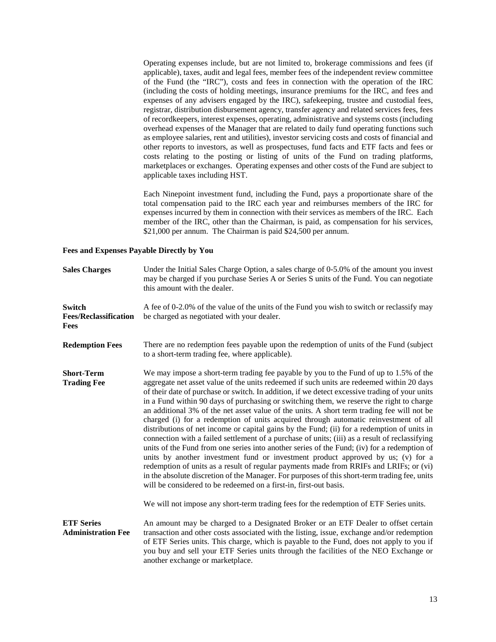Operating expenses include, but are not limited to, brokerage commissions and fees (if applicable), taxes, audit and legal fees, member fees of the independent review committee of the Fund (the "IRC"), costs and fees in connection with the operation of the IRC (including the costs of holding meetings, insurance premiums for the IRC, and fees and expenses of any advisers engaged by the IRC), safekeeping, trustee and custodial fees, registrar, distribution disbursement agency, transfer agency and related services fees, fees of recordkeepers, interest expenses, operating, administrative and systems costs (including overhead expenses of the Manager that are related to daily fund operating functions such as employee salaries, rent and utilities), investor servicing costs and costs of financial and other reports to investors, as well as prospectuses, fund facts and ETF facts and fees or costs relating to the posting or listing of units of the Fund on trading platforms, marketplaces or exchanges. Operating expenses and other costs of the Fund are subject to applicable taxes including HST.

Each Ninepoint investment fund, including the Fund, pays a proportionate share of the total compensation paid to the IRC each year and reimburses members of the IRC for expenses incurred by them in connection with their services as members of the IRC. Each member of the IRC, other than the Chairman, is paid, as compensation for his services, \$21,000 per annum. The Chairman is paid \$24,500 per annum.

#### **Fees and Expenses Payable Directly by You**

| <b>Sales Charges</b>                           | Under the Initial Sales Charge Option, a sales charge of 0-5.0% of the amount you invest<br>may be charged if you purchase Series A or Series S units of the Fund. You can negotiate<br>this amount with the dealer.                                                                                                                                                                                                                                                                                                                                                                                                                                                                                                                                                                                                                                                                                                                                                                                                                                                                                                                                                                                                                                                                                                  |
|------------------------------------------------|-----------------------------------------------------------------------------------------------------------------------------------------------------------------------------------------------------------------------------------------------------------------------------------------------------------------------------------------------------------------------------------------------------------------------------------------------------------------------------------------------------------------------------------------------------------------------------------------------------------------------------------------------------------------------------------------------------------------------------------------------------------------------------------------------------------------------------------------------------------------------------------------------------------------------------------------------------------------------------------------------------------------------------------------------------------------------------------------------------------------------------------------------------------------------------------------------------------------------------------------------------------------------------------------------------------------------|
| Switch<br><b>Fees/Reclassification</b><br>Fees | A fee of 0-2.0% of the value of the units of the Fund you wish to switch or reclassify may<br>be charged as negotiated with your dealer.                                                                                                                                                                                                                                                                                                                                                                                                                                                                                                                                                                                                                                                                                                                                                                                                                                                                                                                                                                                                                                                                                                                                                                              |
| <b>Redemption Fees</b>                         | There are no redemption fees payable upon the redemption of units of the Fund (subject<br>to a short-term trading fee, where applicable).                                                                                                                                                                                                                                                                                                                                                                                                                                                                                                                                                                                                                                                                                                                                                                                                                                                                                                                                                                                                                                                                                                                                                                             |
| <b>Short-Term</b><br><b>Trading Fee</b>        | We may impose a short-term trading fee payable by you to the Fund of up to 1.5% of the<br>aggregate net asset value of the units redeemed if such units are redeemed within 20 days<br>of their date of purchase or switch. In addition, if we detect excessive trading of your units<br>in a Fund within 90 days of purchasing or switching them, we reserve the right to charge<br>an additional 3% of the net asset value of the units. A short term trading fee will not be<br>charged (i) for a redemption of units acquired through automatic reinvestment of all<br>distributions of net income or capital gains by the Fund; (ii) for a redemption of units in<br>connection with a failed settlement of a purchase of units; (iii) as a result of reclassifying<br>units of the Fund from one series into another series of the Fund; (iv) for a redemption of<br>units by another investment fund or investment product approved by us; (v) for a<br>redemption of units as a result of regular payments made from RRIFs and LRIFs; or (vi)<br>in the absolute discretion of the Manager. For purposes of this short-term trading fee, units<br>will be considered to be redeemed on a first-in, first-out basis.<br>We will not impose any short-term trading fees for the redemption of ETF Series units. |
| <b>ETF Series</b><br><b>Administration Fee</b> | An amount may be charged to a Designated Broker or an ETF Dealer to offset certain<br>transaction and other costs associated with the listing, issue, exchange and/or redemption<br>of ETF Series units. This charge, which is payable to the Fund, does not apply to you if<br>you buy and sell your ETF Series units through the facilities of the NEO Exchange or<br>another exchange or marketplace.                                                                                                                                                                                                                                                                                                                                                                                                                                                                                                                                                                                                                                                                                                                                                                                                                                                                                                              |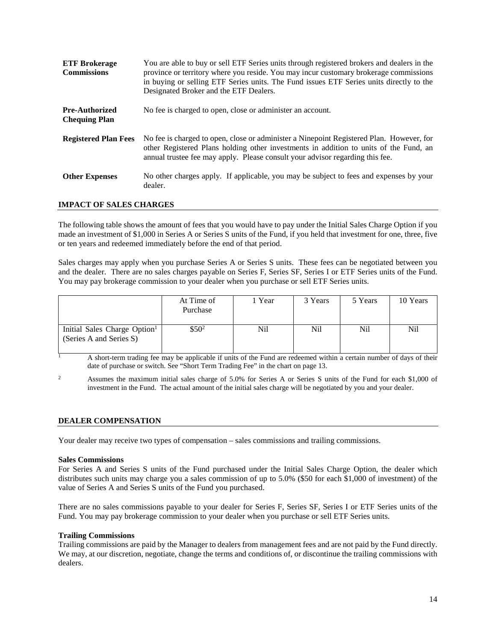| <b>ETF Brokerage</b><br><b>Commissions</b>    | You are able to buy or sell ETF Series units through registered brokers and dealers in the<br>province or territory where you reside. You may incur customary brokerage commissions<br>in buying or selling ETF Series units. The Fund issues ETF Series units directly to the<br>Designated Broker and the ETF Dealers. |
|-----------------------------------------------|--------------------------------------------------------------------------------------------------------------------------------------------------------------------------------------------------------------------------------------------------------------------------------------------------------------------------|
| <b>Pre-Authorized</b><br><b>Chequing Plan</b> | No fee is charged to open, close or administer an account.                                                                                                                                                                                                                                                               |
| <b>Registered Plan Fees</b>                   | No fee is charged to open, close or administer a Ninepoint Registered Plan. However, for<br>other Registered Plans holding other investments in addition to units of the Fund, an<br>annual trustee fee may apply. Please consult your advisor regarding this fee.                                                       |
| <b>Other Expenses</b>                         | No other charges apply. If applicable, you may be subject to fees and expenses by your<br>dealer.                                                                                                                                                                                                                        |

# **IMPACT OF SALES CHARGES**

The following table shows the amount of fees that you would have to pay under the Initial Sales Charge Option if you made an investment of \$1,000 in Series A or Series S units of the Fund, if you held that investment for one, three, five or ten years and redeemed immediately before the end of that period.

Sales charges may apply when you purchase Series A or Series S units. These fees can be negotiated between you and the dealer. There are no sales charges payable on Series F, Series SF, Series I or ETF Series units of the Fund. You may pay brokerage commission to your dealer when you purchase or sell ETF Series units.

|                                                                     | At Time of<br>Purchase | Year | 3 Years | 5 Years | 10 Years |
|---------------------------------------------------------------------|------------------------|------|---------|---------|----------|
| Initial Sales Charge Option <sup>1</sup><br>(Series A and Series S) | $$50^2$$               | Nil  | Nil     | Nil     | Nil      |

<sup>1</sup> A short-term trading fee may be applicable if units of the Fund are redeemed within a certain number of days of their date of purchase or switch. See "Short Term Trading Fee" in the chart on page 13.

<sup>2</sup> Assumes the maximum initial sales charge of 5.0% for Series A or Series S units of the Fund for each \$1,000 of investment in the Fund. The actual amount of the initial sales charge will be negotiated by you and your dealer.

### **DEALER COMPENSATION**

Your dealer may receive two types of compensation – sales commissions and trailing commissions.

### **Sales Commissions**

For Series A and Series S units of the Fund purchased under the Initial Sales Charge Option, the dealer which distributes such units may charge you a sales commission of up to 5.0% (\$50 for each \$1,000 of investment) of the value of Series A and Series S units of the Fund you purchased.

There are no sales commissions payable to your dealer for Series F, Series SF, Series I or ETF Series units of the Fund. You may pay brokerage commission to your dealer when you purchase or sell ETF Series units.

### **Trailing Commissions**

Trailing commissions are paid by the Manager to dealers from management fees and are not paid by the Fund directly. We may, at our discretion, negotiate, change the terms and conditions of, or discontinue the trailing commissions with dealers.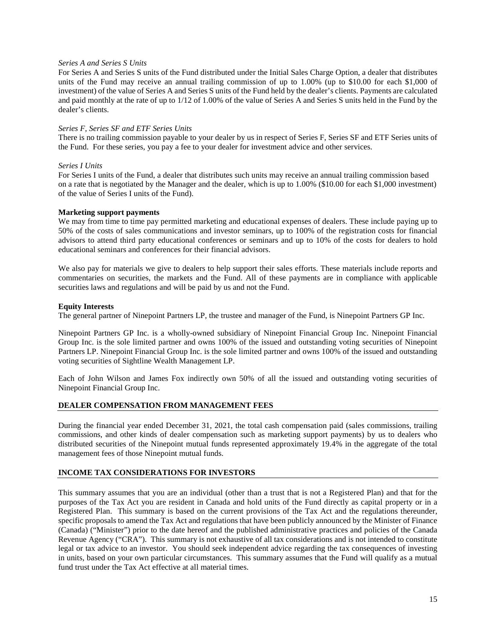# *Series A and Series S Units*

For Series A and Series S units of the Fund distributed under the Initial Sales Charge Option, a dealer that distributes units of the Fund may receive an annual trailing commission of up to 1.00% (up to \$10.00 for each \$1,000 of investment) of the value of Series A and Series S units of the Fund held by the dealer's clients. Payments are calculated and paid monthly at the rate of up to 1/12 of 1.00% of the value of Series A and Series S units held in the Fund by the dealer's clients.

# *Series F, Series SF and ETF Series Units*

There is no trailing commission payable to your dealer by us in respect of Series F, Series SF and ETF Series units of the Fund. For these series, you pay a fee to your dealer for investment advice and other services.

# *Series I Units*

For Series I units of the Fund, a dealer that distributes such units may receive an annual trailing commission based on a rate that is negotiated by the Manager and the dealer, which is up to 1.00% (\$10.00 for each \$1,000 investment) of the value of Series I units of the Fund).

# **Marketing support payments**

We may from time to time pay permitted marketing and educational expenses of dealers. These include paying up to 50% of the costs of sales communications and investor seminars, up to 100% of the registration costs for financial advisors to attend third party educational conferences or seminars and up to 10% of the costs for dealers to hold educational seminars and conferences for their financial advisors.

We also pay for materials we give to dealers to help support their sales efforts. These materials include reports and commentaries on securities, the markets and the Fund. All of these payments are in compliance with applicable securities laws and regulations and will be paid by us and not the Fund.

# **Equity Interests**

The general partner of Ninepoint Partners LP, the trustee and manager of the Fund, is Ninepoint Partners GP Inc.

Ninepoint Partners GP Inc. is a wholly-owned subsidiary of Ninepoint Financial Group Inc. Ninepoint Financial Group Inc. is the sole limited partner and owns 100% of the issued and outstanding voting securities of Ninepoint Partners LP. Ninepoint Financial Group Inc. is the sole limited partner and owns 100% of the issued and outstanding voting securities of Sightline Wealth Management LP.

Each of John Wilson and James Fox indirectly own 50% of all the issued and outstanding voting securities of Ninepoint Financial Group Inc.

# **DEALER COMPENSATION FROM MANAGEMENT FEES**

During the financial year ended December 31, 2021, the total cash compensation paid (sales commissions, trailing commissions, and other kinds of dealer compensation such as marketing support payments) by us to dealers who distributed securities of the Ninepoint mutual funds represented approximately 19.4% in the aggregate of the total management fees of those Ninepoint mutual funds.

# **INCOME TAX CONSIDERATIONS FOR INVESTORS**

This summary assumes that you are an individual (other than a trust that is not a Registered Plan) and that for the purposes of the Tax Act you are resident in Canada and hold units of the Fund directly as capital property or in a Registered Plan. This summary is based on the current provisions of the Tax Act and the regulations thereunder, specific proposals to amend the Tax Act and regulations that have been publicly announced by the Minister of Finance (Canada) ("Minister") prior to the date hereof and the published administrative practices and policies of the Canada Revenue Agency ("CRA"). This summary is not exhaustive of all tax considerations and is not intended to constitute legal or tax advice to an investor. You should seek independent advice regarding the tax consequences of investing in units, based on your own particular circumstances. This summary assumes that the Fund will qualify as a mutual fund trust under the Tax Act effective at all material times.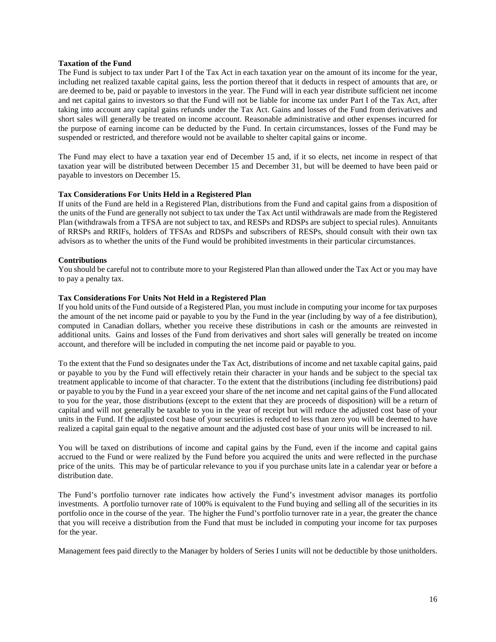# **Taxation of the Fund**

The Fund is subject to tax under Part I of the Tax Act in each taxation year on the amount of its income for the year, including net realized taxable capital gains, less the portion thereof that it deducts in respect of amounts that are, or are deemed to be, paid or payable to investors in the year. The Fund will in each year distribute sufficient net income and net capital gains to investors so that the Fund will not be liable for income tax under Part I of the Tax Act, after taking into account any capital gains refunds under the Tax Act. Gains and losses of the Fund from derivatives and short sales will generally be treated on income account. Reasonable administrative and other expenses incurred for the purpose of earning income can be deducted by the Fund. In certain circumstances, losses of the Fund may be suspended or restricted, and therefore would not be available to shelter capital gains or income.

The Fund may elect to have a taxation year end of December 15 and, if it so elects, net income in respect of that taxation year will be distributed between December 15 and December 31, but will be deemed to have been paid or payable to investors on December 15.

# **Tax Considerations For Units Held in a Registered Plan**

If units of the Fund are held in a Registered Plan, distributions from the Fund and capital gains from a disposition of the units of the Fund are generally not subject to tax under the Tax Act until withdrawals are made from the Registered Plan (withdrawals from a TFSA are not subject to tax, and RESPs and RDSPs are subject to special rules). Annuitants of RRSPs and RRIFs, holders of TFSAs and RDSPs and subscribers of RESPs, should consult with their own tax advisors as to whether the units of the Fund would be prohibited investments in their particular circumstances.

# **Contributions**

You should be careful not to contribute more to your Registered Plan than allowed under the Tax Act or you may have to pay a penalty tax.

# **Tax Considerations For Units Not Held in a Registered Plan**

If you hold units of the Fund outside of a Registered Plan, you must include in computing your income for tax purposes the amount of the net income paid or payable to you by the Fund in the year (including by way of a fee distribution), computed in Canadian dollars, whether you receive these distributions in cash or the amounts are reinvested in additional units. Gains and losses of the Fund from derivatives and short sales will generally be treated on income account, and therefore will be included in computing the net income paid or payable to you.

To the extent that the Fund so designates under the Tax Act, distributions of income and net taxable capital gains, paid or payable to you by the Fund will effectively retain their character in your hands and be subject to the special tax treatment applicable to income of that character. To the extent that the distributions (including fee distributions) paid or payable to you by the Fund in a year exceed your share of the net income and net capital gains of the Fund allocated to you for the year, those distributions (except to the extent that they are proceeds of disposition) will be a return of capital and will not generally be taxable to you in the year of receipt but will reduce the adjusted cost base of your units in the Fund. If the adjusted cost base of your securities is reduced to less than zero you will be deemed to have realized a capital gain equal to the negative amount and the adjusted cost base of your units will be increased to nil.

You will be taxed on distributions of income and capital gains by the Fund, even if the income and capital gains accrued to the Fund or were realized by the Fund before you acquired the units and were reflected in the purchase price of the units. This may be of particular relevance to you if you purchase units late in a calendar year or before a distribution date.

The Fund's portfolio turnover rate indicates how actively the Fund's investment advisor manages its portfolio investments. A portfolio turnover rate of 100% is equivalent to the Fund buying and selling all of the securities in its portfolio once in the course of the year. The higher the Fund's portfolio turnover rate in a year, the greater the chance that you will receive a distribution from the Fund that must be included in computing your income for tax purposes for the year.

Management fees paid directly to the Manager by holders of Series I units will not be deductible by those unitholders.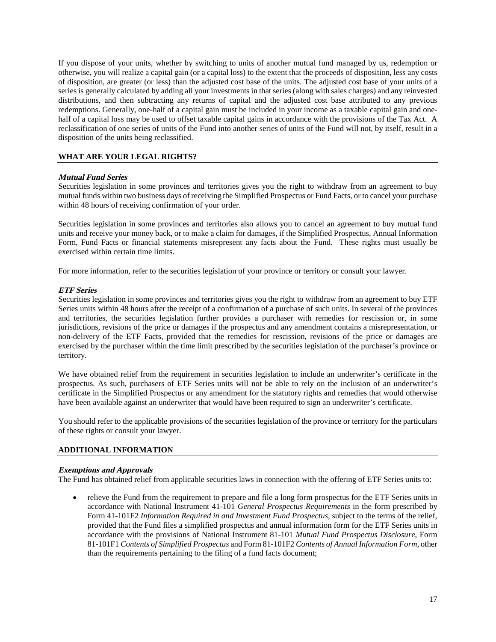If you dispose of your units, whether by switching to units of another mutual fund managed by us, redemption or otherwise, you will realize a capital gain (or a capital loss) to the extent that the proceeds of disposition, less any costs of disposition, are greater (or less) than the adjusted cost base of the units. The adjusted cost base of your units of a series is generally calculated by adding all your investments in that series (along with sales charges) and any reinvested distributions, and then subtracting any returns of capital and the adjusted cost base attributed to any previous redemptions. Generally, one-half of a capital gain must be included in your income as a taxable capital gain and onehalf of a capital loss may be used to offset taxable capital gains in accordance with the provisions of the Tax Act. A reclassification of one series of units of the Fund into another series of units of the Fund will not, by itself, result in a disposition of the units being reclassified.

# **WHAT ARE YOUR LEGAL RIGHTS?**

### **Mutual Fund Series**

Securities legislation in some provinces and territories gives you the right to withdraw from an agreement to buy mutual funds within two business days of receiving the Simplified Prospectus or Fund Facts, or to cancel your purchase within 48 hours of receiving confirmation of your order.

Securities legislation in some provinces and territories also allows you to cancel an agreement to buy mutual fund units and receive your money back, or to make a claim for damages, if the Simplified Prospectus, Annual Information Form, Fund Facts or financial statements misrepresent any facts about the Fund. These rights must usually be exercised within certain time limits.

For more information, refer to the securities legislation of your province or territory or consult your lawyer.

### **ETF Series**

Securities legislation in some provinces and territories gives you the right to withdraw from an agreement to buy ETF Series units within 48 hours after the receipt of a confirmation of a purchase of such units. In several of the provinces and territories, the securities legislation further provides a purchaser with remedies for rescission or, in some jurisdictions, revisions of the price or damages if the prospectus and any amendment contains a misrepresentation, or non-delivery of the ETF Facts, provided that the remedies for rescission, revisions of the price or damages are exercised by the purchaser within the time limit prescribed by the securities legislation of the purchaser's province or territory.

We have obtained relief from the requirement in securities legislation to include an underwriter's certificate in the prospectus. As such, purchasers of ETF Series units will not be able to rely on the inclusion of an underwriter's certificate in the Simplified Prospectus or any amendment for the statutory rights and remedies that would otherwise have been available against an underwriter that would have been required to sign an underwriter's certificate.

You should refer to the applicable provisions of the securities legislation of the province or territory for the particulars of these rights or consult your lawyer.

# **ADDITIONAL INFORMATION**

### **Exemptions and Approvals**

The Fund has obtained relief from applicable securities laws in connection with the offering of ETF Series units to:

• relieve the Fund from the requirement to prepare and file a long form prospectus for the ETF Series units in accordance with National Instrument 41-101 *General Prospectus Requirements* in the form prescribed by Form 41-101F2 *Information Required in and Investment Fund Prospectus*, subject to the terms of the relief, provided that the Fund files a simplified prospectus and annual information form for the ETF Series units in accordance with the provisions of National Instrument 81-101 *Mutual Fund Prospectus Disclosure*, Form 81-101F1 *Contents of Simplified Prospectus* and Form 81-101F2 *Contents of Annual Information Form*, other than the requirements pertaining to the filing of a fund facts document;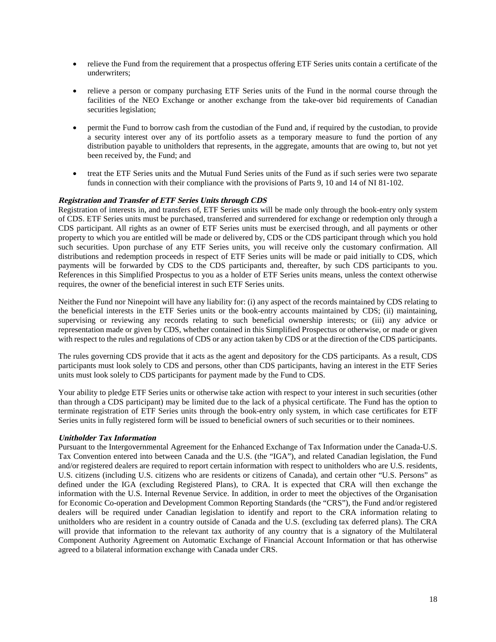- relieve the Fund from the requirement that a prospectus offering ETF Series units contain a certificate of the underwriters;
- relieve a person or company purchasing ETF Series units of the Fund in the normal course through the facilities of the NEO Exchange or another exchange from the take-over bid requirements of Canadian securities legislation;
- permit the Fund to borrow cash from the custodian of the Fund and, if required by the custodian, to provide a security interest over any of its portfolio assets as a temporary measure to fund the portion of any distribution payable to unitholders that represents, in the aggregate, amounts that are owing to, but not yet been received by, the Fund; and
- treat the ETF Series units and the Mutual Fund Series units of the Fund as if such series were two separate funds in connection with their compliance with the provisions of Parts 9, 10 and 14 of NI 81-102.

# **Registration and Transfer of ETF Series Units through CDS**

Registration of interests in, and transfers of, ETF Series units will be made only through the book-entry only system of CDS. ETF Series units must be purchased, transferred and surrendered for exchange or redemption only through a CDS participant. All rights as an owner of ETF Series units must be exercised through, and all payments or other property to which you are entitled will be made or delivered by, CDS or the CDS participant through which you hold such securities. Upon purchase of any ETF Series units, you will receive only the customary confirmation. All distributions and redemption proceeds in respect of ETF Series units will be made or paid initially to CDS, which payments will be forwarded by CDS to the CDS participants and, thereafter, by such CDS participants to you. References in this Simplified Prospectus to you as a holder of ETF Series units means, unless the context otherwise requires, the owner of the beneficial interest in such ETF Series units.

Neither the Fund nor Ninepoint will have any liability for: (i) any aspect of the records maintained by CDS relating to the beneficial interests in the ETF Series units or the book-entry accounts maintained by CDS; (ii) maintaining, supervising or reviewing any records relating to such beneficial ownership interests; or (iii) any advice or representation made or given by CDS, whether contained in this Simplified Prospectus or otherwise, or made or given with respect to the rules and regulations of CDS or any action taken by CDS or at the direction of the CDS participants.

The rules governing CDS provide that it acts as the agent and depository for the CDS participants. As a result, CDS participants must look solely to CDS and persons, other than CDS participants, having an interest in the ETF Series units must look solely to CDS participants for payment made by the Fund to CDS.

Your ability to pledge ETF Series units or otherwise take action with respect to your interest in such securities (other than through a CDS participant) may be limited due to the lack of a physical certificate. The Fund has the option to terminate registration of ETF Series units through the book-entry only system, in which case certificates for ETF Series units in fully registered form will be issued to beneficial owners of such securities or to their nominees.

### **Unitholder Tax Information**

Pursuant to the Intergovernmental Agreement for the Enhanced Exchange of Tax Information under the Canada-U.S. Tax Convention entered into between Canada and the U.S. (the "IGA"), and related Canadian legislation, the Fund and/or registered dealers are required to report certain information with respect to unitholders who are U.S. residents, U.S. citizens (including U.S. citizens who are residents or citizens of Canada), and certain other "U.S. Persons" as defined under the IGA (excluding Registered Plans), to CRA. It is expected that CRA will then exchange the information with the U.S. Internal Revenue Service. In addition, in order to meet the objectives of the Organisation for Economic Co-operation and Development Common Reporting Standards (the "CRS"), the Fund and/or registered dealers will be required under Canadian legislation to identify and report to the CRA information relating to unitholders who are resident in a country outside of Canada and the U.S. (excluding tax deferred plans). The CRA will provide that information to the relevant tax authority of any country that is a signatory of the Multilateral Component Authority Agreement on Automatic Exchange of Financial Account Information or that has otherwise agreed to a bilateral information exchange with Canada under CRS.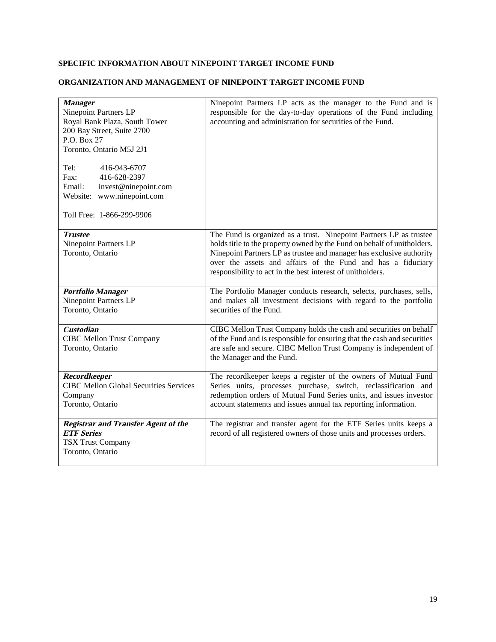# **SPECIFIC INFORMATION ABOUT NINEPOINT TARGET INCOME FUND**

# **ORGANIZATION AND MANAGEMENT OF NINEPOINT TARGET INCOME FUND**

| <b>Manager</b><br>Ninepoint Partners LP<br>Royal Bank Plaza, South Tower<br>200 Bay Street, Suite 2700<br>P.O. Box 27<br>Toronto, Ontario M5J 2J1<br>Tel:<br>416-943-6707<br>Fax:<br>416-628-2397<br>invest@ninepoint.com<br>Email:<br>www.ninepoint.com<br>Website:<br>Toll Free: 1-866-299-9906 | Ninepoint Partners LP acts as the manager to the Fund and is<br>responsible for the day-to-day operations of the Fund including<br>accounting and administration for securities of the Fund.                                                                                                                                                       |
|---------------------------------------------------------------------------------------------------------------------------------------------------------------------------------------------------------------------------------------------------------------------------------------------------|----------------------------------------------------------------------------------------------------------------------------------------------------------------------------------------------------------------------------------------------------------------------------------------------------------------------------------------------------|
| <b>Trustee</b><br>Ninepoint Partners LP<br>Toronto, Ontario                                                                                                                                                                                                                                       | The Fund is organized as a trust. Ninepoint Partners LP as trustee<br>holds title to the property owned by the Fund on behalf of unitholders.<br>Ninepoint Partners LP as trustee and manager has exclusive authority<br>over the assets and affairs of the Fund and has a fiduciary<br>responsibility to act in the best interest of unitholders. |
| <b>Portfolio Manager</b><br>Ninepoint Partners LP<br>Toronto, Ontario                                                                                                                                                                                                                             | The Portfolio Manager conducts research, selects, purchases, sells,<br>and makes all investment decisions with regard to the portfolio<br>securities of the Fund.                                                                                                                                                                                  |
| <b>Custodian</b><br><b>CIBC Mellon Trust Company</b><br>Toronto, Ontario                                                                                                                                                                                                                          | CIBC Mellon Trust Company holds the cash and securities on behalf<br>of the Fund and is responsible for ensuring that the cash and securities<br>are safe and secure. CIBC Mellon Trust Company is independent of<br>the Manager and the Fund.                                                                                                     |
| <b>Recordkeeper</b><br><b>CIBC Mellon Global Securities Services</b><br>Company<br>Toronto, Ontario                                                                                                                                                                                               | The recordkeeper keeps a register of the owners of Mutual Fund<br>Series units, processes purchase, switch, reclassification and<br>redemption orders of Mutual Fund Series units, and issues investor<br>account statements and issues annual tax reporting information.                                                                          |
| <b>Registrar and Transfer Agent of the</b><br><b>ETF Series</b><br><b>TSX Trust Company</b><br>Toronto, Ontario                                                                                                                                                                                   | The registrar and transfer agent for the ETF Series units keeps a<br>record of all registered owners of those units and processes orders.                                                                                                                                                                                                          |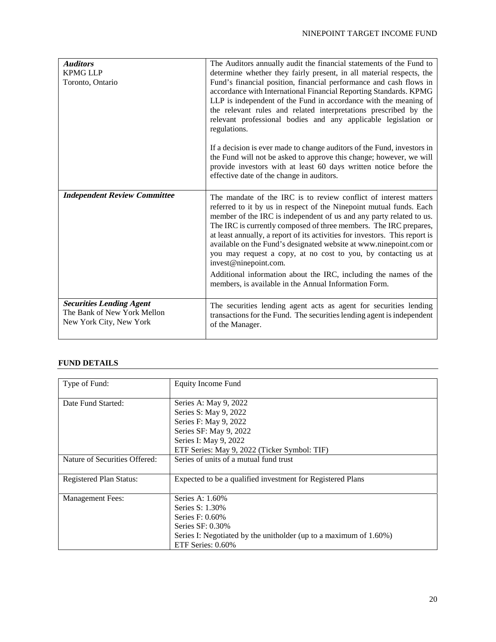| <b>Auditors</b><br><b>KPMG LLP</b><br>Toronto, Ontario                                    | The Auditors annually audit the financial statements of the Fund to<br>determine whether they fairly present, in all material respects, the<br>Fund's financial position, financial performance and cash flows in<br>accordance with International Financial Reporting Standards. KPMG<br>LLP is independent of the Fund in accordance with the meaning of<br>the relevant rules and related interpretations prescribed by the<br>relevant professional bodies and any applicable legislation or<br>regulations.<br>If a decision is ever made to change auditors of the Fund, investors in<br>the Fund will not be asked to approve this change; however, we will<br>provide investors with at least 60 days written notice before the<br>effective date of the change in auditors. |
|-------------------------------------------------------------------------------------------|--------------------------------------------------------------------------------------------------------------------------------------------------------------------------------------------------------------------------------------------------------------------------------------------------------------------------------------------------------------------------------------------------------------------------------------------------------------------------------------------------------------------------------------------------------------------------------------------------------------------------------------------------------------------------------------------------------------------------------------------------------------------------------------|
| <b>Independent Review Committee</b>                                                       | The mandate of the IRC is to review conflict of interest matters<br>referred to it by us in respect of the Ninepoint mutual funds. Each<br>member of the IRC is independent of us and any party related to us.<br>The IRC is currently composed of three members. The IRC prepares,<br>at least annually, a report of its activities for investors. This report is<br>available on the Fund's designated website at www.ninepoint.com or<br>you may request a copy, at no cost to you, by contacting us at<br>invest@ninepoint.com.<br>Additional information about the IRC, including the names of the<br>members, is available in the Annual Information Form.                                                                                                                     |
| <b>Securities Lending Agent</b><br>The Bank of New York Mellon<br>New York City, New York | The securities lending agent acts as agent for securities lending<br>transactions for the Fund. The securities lending agent is independent<br>of the Manager.                                                                                                                                                                                                                                                                                                                                                                                                                                                                                                                                                                                                                       |

# **FUND DETAILS**

| Type of Fund:                  | <b>Equity Income Fund</b>                                         |
|--------------------------------|-------------------------------------------------------------------|
| Date Fund Started:             | Series A: May 9, 2022                                             |
|                                | Series S: May 9, 2022                                             |
|                                | Series F: May 9, 2022                                             |
|                                | Series SF: May 9, 2022                                            |
|                                | Series I: May 9, 2022                                             |
|                                | ETF Series: May 9, 2022 (Ticker Symbol: TIF)                      |
| Nature of Securities Offered:  | Series of units of a mutual fund trust                            |
| <b>Registered Plan Status:</b> | Expected to be a qualified investment for Registered Plans        |
| <b>Management Fees:</b>        | Series A: 1.60%                                                   |
|                                | Series S: 1.30%                                                   |
|                                | Series F: 0.60%                                                   |
|                                | Series $SF: 0.30\%$                                               |
|                                | Series I: Negotiated by the unitholder (up to a maximum of 1.60%) |
|                                | ETF Series: 0.60%                                                 |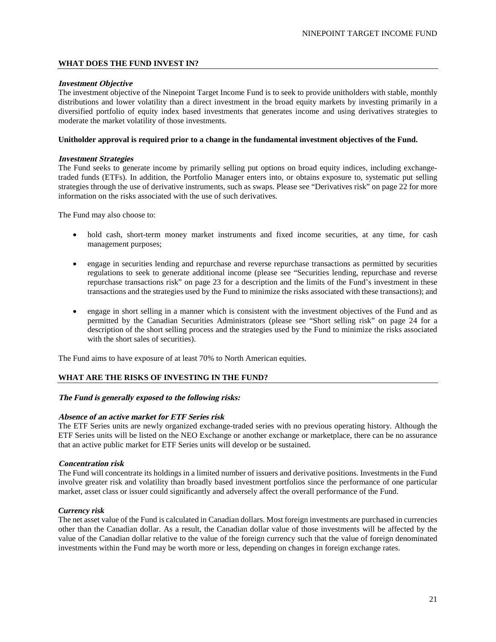# **WHAT DOES THE FUND INVEST IN?**

#### **Investment Objective**

The investment objective of the Ninepoint Target Income Fund is to seek to provide unitholders with stable, monthly distributions and lower volatility than a direct investment in the broad equity markets by investing primarily in a diversified portfolio of equity index based investments that generates income and using derivatives strategies to moderate the market volatility of those investments.

#### **Unitholder approval is required prior to a change in the fundamental investment objectives of the Fund.**

#### **Investment Strategies**

The Fund seeks to generate income by primarily selling put options on broad equity indices, including exchangetraded funds (ETFs). In addition, the Portfolio Manager enters into, or obtains exposure to, systematic put selling strategies through the use of derivative instruments, such as swaps. Please see "Derivatives risk" on page 22 for more information on the risks associated with the use of such derivatives.

The Fund may also choose to:

- hold cash, short-term money market instruments and fixed income securities, at any time, for cash management purposes;
- engage in securities lending and repurchase and reverse repurchase transactions as permitted by securities regulations to seek to generate additional income (please see "Securities lending, repurchase and reverse repurchase transactions risk" on page 23 for a description and the limits of the Fund's investment in these transactions and the strategies used by the Fund to minimize the risks associated with these transactions); and
- engage in short selling in a manner which is consistent with the investment objectives of the Fund and as permitted by the Canadian Securities Administrators (please see "Short selling risk" on page 24 for a description of the short selling process and the strategies used by the Fund to minimize the risks associated with the short sales of securities).

The Fund aims to have exposure of at least 70% to North American equities.

# **WHAT ARE THE RISKS OF INVESTING IN THE FUND?**

## **The Fund is generally exposed to the following risks:**

### **Absence of an active market for ETF Series risk**

The ETF Series units are newly organized exchange-traded series with no previous operating history. Although the ETF Series units will be listed on the NEO Exchange or another exchange or marketplace, there can be no assurance that an active public market for ETF Series units will develop or be sustained.

### **Concentration risk**

The Fund will concentrate its holdings in a limited number of issuers and derivative positions. Investments in the Fund involve greater risk and volatility than broadly based investment portfolios since the performance of one particular market, asset class or issuer could significantly and adversely affect the overall performance of the Fund.

### *Currency risk*

The net asset value of the Fund is calculated in Canadian dollars. Most foreign investments are purchased in currencies other than the Canadian dollar. As a result, the Canadian dollar value of those investments will be affected by the value of the Canadian dollar relative to the value of the foreign currency such that the value of foreign denominated investments within the Fund may be worth more or less, depending on changes in foreign exchange rates.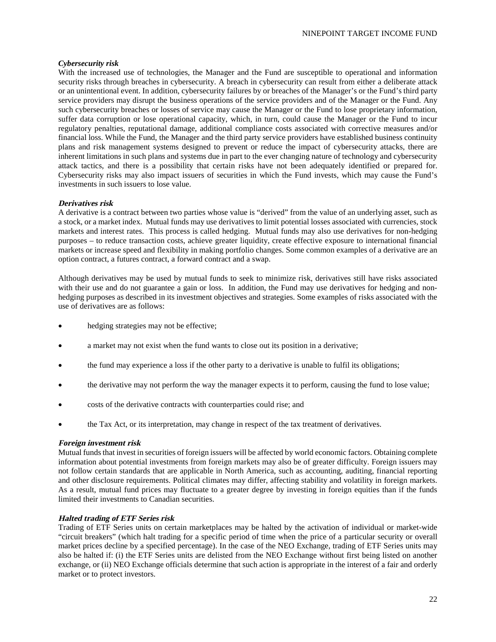# *Cybersecurity risk*

With the increased use of technologies, the Manager and the Fund are susceptible to operational and information security risks through breaches in cybersecurity. A breach in cybersecurity can result from either a deliberate attack or an unintentional event. In addition, cybersecurity failures by or breaches of the Manager's or the Fund's third party service providers may disrupt the business operations of the service providers and of the Manager or the Fund. Any such cybersecurity breaches or losses of service may cause the Manager or the Fund to lose proprietary information, suffer data corruption or lose operational capacity, which, in turn, could cause the Manager or the Fund to incur regulatory penalties, reputational damage, additional compliance costs associated with corrective measures and/or financial loss. While the Fund, the Manager and the third party service providers have established business continuity plans and risk management systems designed to prevent or reduce the impact of cybersecurity attacks, there are inherent limitations in such plans and systems due in part to the ever changing nature of technology and cybersecurity attack tactics, and there is a possibility that certain risks have not been adequately identified or prepared for. Cybersecurity risks may also impact issuers of securities in which the Fund invests, which may cause the Fund's investments in such issuers to lose value.

# **Derivatives risk**

A derivative is a contract between two parties whose value is "derived" from the value of an underlying asset, such as a stock, or a market index. Mutual funds may use derivatives to limit potential losses associated with currencies, stock markets and interest rates. This process is called hedging. Mutual funds may also use derivatives for non-hedging purposes – to reduce transaction costs, achieve greater liquidity, create effective exposure to international financial markets or increase speed and flexibility in making portfolio changes. Some common examples of a derivative are an option contract, a futures contract, a forward contract and a swap.

Although derivatives may be used by mutual funds to seek to minimize risk, derivatives still have risks associated with their use and do not guarantee a gain or loss. In addition, the Fund may use derivatives for hedging and nonhedging purposes as described in its investment objectives and strategies. Some examples of risks associated with the use of derivatives are as follows:

- hedging strategies may not be effective;
- a market may not exist when the fund wants to close out its position in a derivative;
- the fund may experience a loss if the other party to a derivative is unable to fulfil its obligations;
- the derivative may not perform the way the manager expects it to perform, causing the fund to lose value;
- costs of the derivative contracts with counterparties could rise; and
- the Tax Act, or its interpretation, may change in respect of the tax treatment of derivatives.

# **Foreign investment risk**

Mutual funds that invest in securities of foreign issuers will be affected by world economic factors. Obtaining complete information about potential investments from foreign markets may also be of greater difficulty. Foreign issuers may not follow certain standards that are applicable in North America, such as accounting, auditing, financial reporting and other disclosure requirements. Political climates may differ, affecting stability and volatility in foreign markets. As a result, mutual fund prices may fluctuate to a greater degree by investing in foreign equities than if the funds limited their investments to Canadian securities.

## **Halted trading of ETF Series risk**

Trading of ETF Series units on certain marketplaces may be halted by the activation of individual or market-wide "circuit breakers" (which halt trading for a specific period of time when the price of a particular security or overall market prices decline by a specified percentage). In the case of the NEO Exchange, trading of ETF Series units may also be halted if: (i) the ETF Series units are delisted from the NEO Exchange without first being listed on another exchange, or (ii) NEO Exchange officials determine that such action is appropriate in the interest of a fair and orderly market or to protect investors.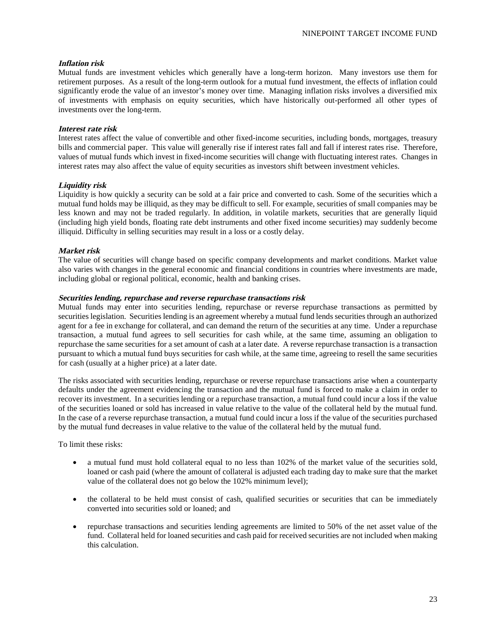# **Inflation risk**

Mutual funds are investment vehicles which generally have a long-term horizon. Many investors use them for retirement purposes. As a result of the long-term outlook for a mutual fund investment, the effects of inflation could significantly erode the value of an investor's money over time. Managing inflation risks involves a diversified mix of investments with emphasis on equity securities, which have historically out-performed all other types of investments over the long-term.

# **Interest rate risk**

Interest rates affect the value of convertible and other fixed-income securities, including bonds, mortgages, treasury bills and commercial paper. This value will generally rise if interest rates fall and fall if interest rates rise. Therefore, values of mutual funds which invest in fixed-income securities will change with fluctuating interest rates. Changes in interest rates may also affect the value of equity securities as investors shift between investment vehicles.

# **Liquidity risk**

Liquidity is how quickly a security can be sold at a fair price and converted to cash. Some of the securities which a mutual fund holds may be illiquid, as they may be difficult to sell. For example, securities of small companies may be less known and may not be traded regularly. In addition, in volatile markets, securities that are generally liquid (including high yield bonds, floating rate debt instruments and other fixed income securities) may suddenly become illiquid. Difficulty in selling securities may result in a loss or a costly delay.

# **Market risk**

The value of securities will change based on specific company developments and market conditions. Market value also varies with changes in the general economic and financial conditions in countries where investments are made, including global or regional political, economic, health and banking crises.

### **Securities lending, repurchase and reverse repurchase transactions risk**

Mutual funds may enter into securities lending, repurchase or reverse repurchase transactions as permitted by securities legislation. Securities lending is an agreement whereby a mutual fund lends securities through an authorized agent for a fee in exchange for collateral, and can demand the return of the securities at any time. Under a repurchase transaction, a mutual fund agrees to sell securities for cash while, at the same time, assuming an obligation to repurchase the same securities for a set amount of cash at a later date. A reverse repurchase transaction is a transaction pursuant to which a mutual fund buys securities for cash while, at the same time, agreeing to resell the same securities for cash (usually at a higher price) at a later date.

The risks associated with securities lending, repurchase or reverse repurchase transactions arise when a counterparty defaults under the agreement evidencing the transaction and the mutual fund is forced to make a claim in order to recover its investment. In a securities lending or a repurchase transaction, a mutual fund could incur a loss if the value of the securities loaned or sold has increased in value relative to the value of the collateral held by the mutual fund. In the case of a reverse repurchase transaction, a mutual fund could incur a loss if the value of the securities purchased by the mutual fund decreases in value relative to the value of the collateral held by the mutual fund.

To limit these risks:

- a mutual fund must hold collateral equal to no less than 102% of the market value of the securities sold, loaned or cash paid (where the amount of collateral is adjusted each trading day to make sure that the market value of the collateral does not go below the 102% minimum level);
- the collateral to be held must consist of cash, qualified securities or securities that can be immediately converted into securities sold or loaned; and
- repurchase transactions and securities lending agreements are limited to 50% of the net asset value of the fund. Collateral held for loaned securities and cash paid for received securities are not included when making this calculation.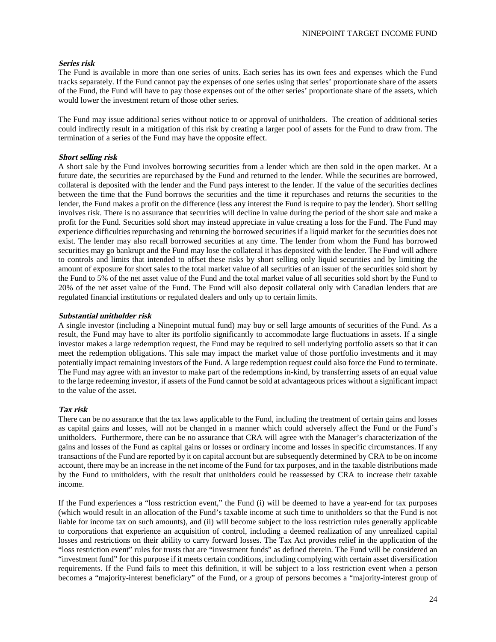# **Series risk**

The Fund is available in more than one series of units. Each series has its own fees and expenses which the Fund tracks separately. If the Fund cannot pay the expenses of one series using that series' proportionate share of the assets of the Fund, the Fund will have to pay those expenses out of the other series' proportionate share of the assets, which would lower the investment return of those other series.

The Fund may issue additional series without notice to or approval of unitholders. The creation of additional series could indirectly result in a mitigation of this risk by creating a larger pool of assets for the Fund to draw from. The termination of a series of the Fund may have the opposite effect.

# **Short selling risk**

A short sale by the Fund involves borrowing securities from a lender which are then sold in the open market. At a future date, the securities are repurchased by the Fund and returned to the lender. While the securities are borrowed, collateral is deposited with the lender and the Fund pays interest to the lender. If the value of the securities declines between the time that the Fund borrows the securities and the time it repurchases and returns the securities to the lender, the Fund makes a profit on the difference (less any interest the Fund is require to pay the lender). Short selling involves risk. There is no assurance that securities will decline in value during the period of the short sale and make a profit for the Fund. Securities sold short may instead appreciate in value creating a loss for the Fund. The Fund may experience difficulties repurchasing and returning the borrowed securities if a liquid market for the securities does not exist. The lender may also recall borrowed securities at any time. The lender from whom the Fund has borrowed securities may go bankrupt and the Fund may lose the collateral it has deposited with the lender. The Fund will adhere to controls and limits that intended to offset these risks by short selling only liquid securities and by limiting the amount of exposure for short sales to the total market value of all securities of an issuer of the securities sold short by the Fund to 5% of the net asset value of the Fund and the total market value of all securities sold short by the Fund to 20% of the net asset value of the Fund. The Fund will also deposit collateral only with Canadian lenders that are regulated financial institutions or regulated dealers and only up to certain limits.

### **Substantial unitholder risk**

A single investor (including a Ninepoint mutual fund) may buy or sell large amounts of securities of the Fund. As a result, the Fund may have to alter its portfolio significantly to accommodate large fluctuations in assets. If a single investor makes a large redemption request, the Fund may be required to sell underlying portfolio assets so that it can meet the redemption obligations. This sale may impact the market value of those portfolio investments and it may potentially impact remaining investors of the Fund. A large redemption request could also force the Fund to terminate. The Fund may agree with an investor to make part of the redemptions in-kind, by transferring assets of an equal value to the large redeeming investor, if assets of the Fund cannot be sold at advantageous prices without a significant impact to the value of the asset.

# **Tax risk**

There can be no assurance that the tax laws applicable to the Fund, including the treatment of certain gains and losses as capital gains and losses, will not be changed in a manner which could adversely affect the Fund or the Fund's unitholders. Furthermore, there can be no assurance that CRA will agree with the Manager's characterization of the gains and losses of the Fund as capital gains or losses or ordinary income and losses in specific circumstances. If any transactions of the Fund are reported by it on capital account but are subsequently determined by CRA to be on income account, there may be an increase in the net income of the Fund for tax purposes, and in the taxable distributions made by the Fund to unitholders, with the result that unitholders could be reassessed by CRA to increase their taxable income.

If the Fund experiences a "loss restriction event," the Fund (i) will be deemed to have a year-end for tax purposes (which would result in an allocation of the Fund's taxable income at such time to unitholders so that the Fund is not liable for income tax on such amounts), and (ii) will become subject to the loss restriction rules generally applicable to corporations that experience an acquisition of control, including a deemed realization of any unrealized capital losses and restrictions on their ability to carry forward losses. The Tax Act provides relief in the application of the "loss restriction event" rules for trusts that are "investment funds" as defined therein. The Fund will be considered an "investment fund" for this purpose if it meets certain conditions, including complying with certain asset diversification requirements. If the Fund fails to meet this definition, it will be subject to a loss restriction event when a person becomes a "majority-interest beneficiary" of the Fund, or a group of persons becomes a "majority-interest group of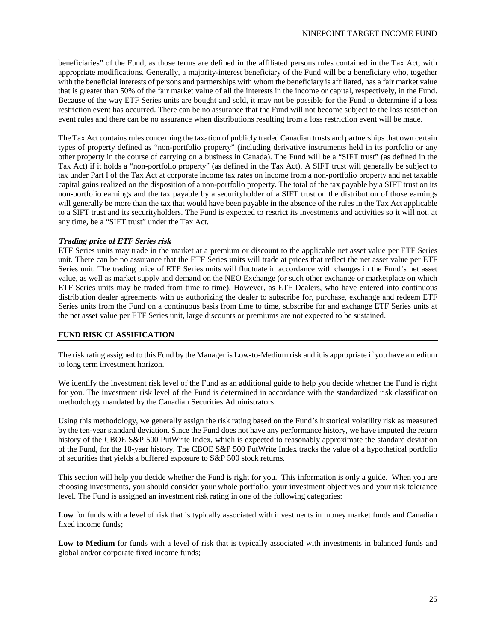beneficiaries" of the Fund, as those terms are defined in the affiliated persons rules contained in the Tax Act, with appropriate modifications. Generally, a majority-interest beneficiary of the Fund will be a beneficiary who, together with the beneficial interests of persons and partnerships with whom the beneficiary is affiliated, has a fair market value that is greater than 50% of the fair market value of all the interests in the income or capital, respectively, in the Fund. Because of the way ETF Series units are bought and sold, it may not be possible for the Fund to determine if a loss restriction event has occurred. There can be no assurance that the Fund will not become subject to the loss restriction event rules and there can be no assurance when distributions resulting from a loss restriction event will be made.

The Tax Act contains rules concerning the taxation of publicly traded Canadian trusts and partnerships that own certain types of property defined as "non-portfolio property" (including derivative instruments held in its portfolio or any other property in the course of carrying on a business in Canada). The Fund will be a "SIFT trust" (as defined in the Tax Act) if it holds a "non-portfolio property" (as defined in the Tax Act). A SIFT trust will generally be subject to tax under Part I of the Tax Act at corporate income tax rates on income from a non-portfolio property and net taxable capital gains realized on the disposition of a non-portfolio property. The total of the tax payable by a SIFT trust on its non-portfolio earnings and the tax payable by a securityholder of a SIFT trust on the distribution of those earnings will generally be more than the tax that would have been payable in the absence of the rules in the Tax Act applicable to a SIFT trust and its securityholders. The Fund is expected to restrict its investments and activities so it will not, at any time, be a "SIFT trust" under the Tax Act.

# **Trading price of ETF Series risk**

ETF Series units may trade in the market at a premium or discount to the applicable net asset value per ETF Series unit. There can be no assurance that the ETF Series units will trade at prices that reflect the net asset value per ETF Series unit. The trading price of ETF Series units will fluctuate in accordance with changes in the Fund's net asset value, as well as market supply and demand on the NEO Exchange (or such other exchange or marketplace on which ETF Series units may be traded from time to time). However, as ETF Dealers, who have entered into continuous distribution dealer agreements with us authorizing the dealer to subscribe for, purchase, exchange and redeem ETF Series units from the Fund on a continuous basis from time to time, subscribe for and exchange ETF Series units at the net asset value per ETF Series unit, large discounts or premiums are not expected to be sustained.

### **FUND RISK CLASSIFICATION**

The risk rating assigned to this Fund by the Manager is Low-to-Medium risk and it is appropriate if you have a medium to long term investment horizon.

We identify the investment risk level of the Fund as an additional guide to help you decide whether the Fund is right for you. The investment risk level of the Fund is determined in accordance with the standardized risk classification methodology mandated by the Canadian Securities Administrators.

Using this methodology, we generally assign the risk rating based on the Fund's historical volatility risk as measured by the ten-year standard deviation. Since the Fund does not have any performance history, we have imputed the return history of the CBOE S&P 500 PutWrite Index, which is expected to reasonably approximate the standard deviation of the Fund, for the 10-year history. The CBOE S&P 500 PutWrite Index tracks the value of a hypothetical portfolio of securities that yields a buffered exposure to S&P 500 stock returns.

This section will help you decide whether the Fund is right for you. This information is only a guide. When you are choosing investments, you should consider your whole portfolio, your investment objectives and your risk tolerance level. The Fund is assigned an investment risk rating in one of the following categories:

Low for funds with a level of risk that is typically associated with investments in money market funds and Canadian fixed income funds;

**Low to Medium** for funds with a level of risk that is typically associated with investments in balanced funds and global and/or corporate fixed income funds;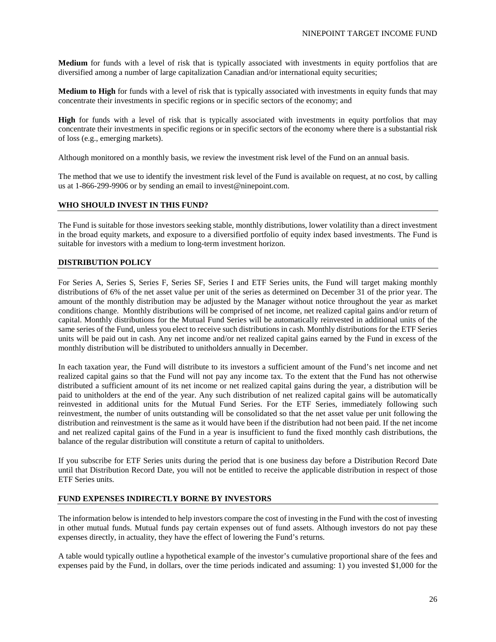**Medium** for funds with a level of risk that is typically associated with investments in equity portfolios that are diversified among a number of large capitalization Canadian and/or international equity securities;

**Medium to High** for funds with a level of risk that is typically associated with investments in equity funds that may concentrate their investments in specific regions or in specific sectors of the economy; and

**High** for funds with a level of risk that is typically associated with investments in equity portfolios that may concentrate their investments in specific regions or in specific sectors of the economy where there is a substantial risk of loss (e.g., emerging markets).

Although monitored on a monthly basis, we review the investment risk level of the Fund on an annual basis.

The method that we use to identify the investment risk level of the Fund is available on request, at no cost, by calling us at 1-866-299-9906 or by sending an email to invest@ninepoint.com.

### **WHO SHOULD INVEST IN THIS FUND?**

The Fund is suitable for those investors seeking stable, monthly distributions, lower volatility than a direct investment in the broad equity markets, and exposure to a diversified portfolio of equity index based investments. The Fund is suitable for investors with a medium to long-term investment horizon.

# **DISTRIBUTION POLICY**

For Series A, Series S, Series F, Series SF, Series I and ETF Series units, the Fund will target making monthly distributions of 6% of the net asset value per unit of the series as determined on December 31 of the prior year. The amount of the monthly distribution may be adjusted by the Manager without notice throughout the year as market conditions change. Monthly distributions will be comprised of net income, net realized capital gains and/or return of capital. Monthly distributions for the Mutual Fund Series will be automatically reinvested in additional units of the same series of the Fund, unless you elect to receive such distributions in cash. Monthly distributions for the ETF Series units will be paid out in cash. Any net income and/or net realized capital gains earned by the Fund in excess of the monthly distribution will be distributed to unitholders annually in December.

In each taxation year, the Fund will distribute to its investors a sufficient amount of the Fund's net income and net realized capital gains so that the Fund will not pay any income tax. To the extent that the Fund has not otherwise distributed a sufficient amount of its net income or net realized capital gains during the year, a distribution will be paid to unitholders at the end of the year. Any such distribution of net realized capital gains will be automatically reinvested in additional units for the Mutual Fund Series. For the ETF Series, immediately following such reinvestment, the number of units outstanding will be consolidated so that the net asset value per unit following the distribution and reinvestment is the same as it would have been if the distribution had not been paid. If the net income and net realized capital gains of the Fund in a year is insufficient to fund the fixed monthly cash distributions, the balance of the regular distribution will constitute a return of capital to unitholders.

If you subscribe for ETF Series units during the period that is one business day before a Distribution Record Date until that Distribution Record Date, you will not be entitled to receive the applicable distribution in respect of those ETF Series units.

### **FUND EXPENSES INDIRECTLY BORNE BY INVESTORS**

The information below is intended to help investors compare the cost of investing in the Fund with the cost of investing in other mutual funds. Mutual funds pay certain expenses out of fund assets. Although investors do not pay these expenses directly, in actuality, they have the effect of lowering the Fund's returns.

A table would typically outline a hypothetical example of the investor's cumulative proportional share of the fees and expenses paid by the Fund, in dollars, over the time periods indicated and assuming: 1) you invested \$1,000 for the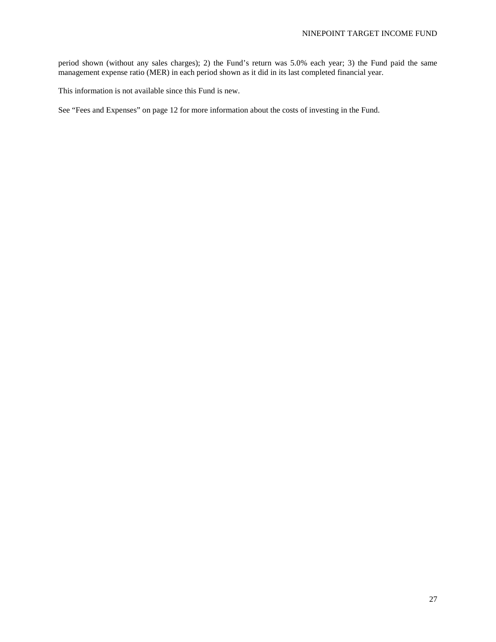period shown (without any sales charges); 2) the Fund's return was 5.0% each year; 3) the Fund paid the same management expense ratio (MER) in each period shown as it did in its last completed financial year.

This information is not available since this Fund is new.

See "Fees and Expenses" on page 12 for more information about the costs of investing in the Fund.